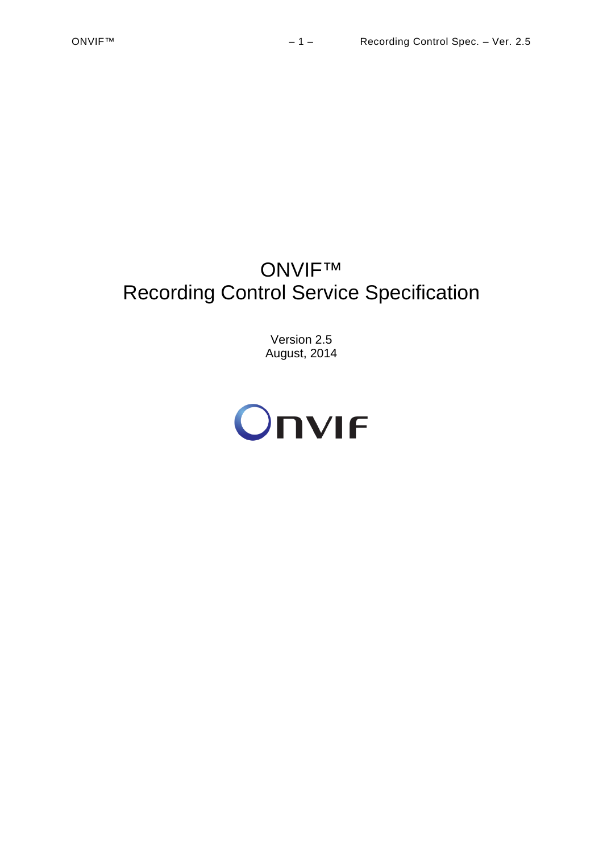# ONVIF™ Recording Control Service Specification

Version 2.5 August, 2014

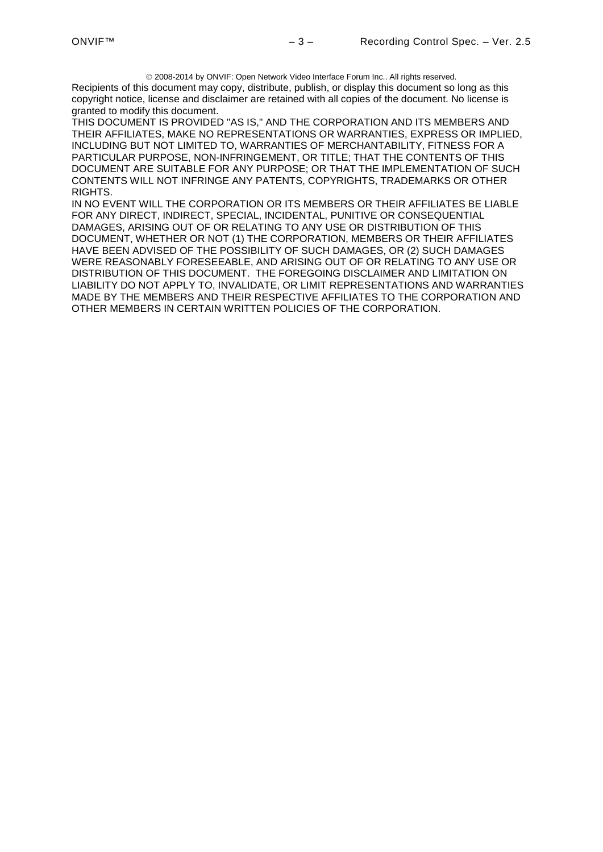2008-2014 by ONVIF: Open Network Video Interface Forum Inc.. All rights reserved. Recipients of this document may copy, distribute, publish, or display this document so long as this copyright notice, license and disclaimer are retained with all copies of the document. No license is granted to modify this document.

THIS DOCUMENT IS PROVIDED "AS IS," AND THE CORPORATION AND ITS MEMBERS AND THEIR AFFILIATES, MAKE NO REPRESENTATIONS OR WARRANTIES, EXPRESS OR IMPLIED, INCLUDING BUT NOT LIMITED TO, WARRANTIES OF MERCHANTABILITY, FITNESS FOR A PARTICULAR PURPOSE, NON-INFRINGEMENT, OR TITLE; THAT THE CONTENTS OF THIS DOCUMENT ARE SUITABLE FOR ANY PURPOSE; OR THAT THE IMPLEMENTATION OF SUCH CONTENTS WILL NOT INFRINGE ANY PATENTS, COPYRIGHTS, TRADEMARKS OR OTHER RIGHTS.

IN NO EVENT WILL THE CORPORATION OR ITS MEMBERS OR THEIR AFFILIATES BE LIABLE FOR ANY DIRECT, INDIRECT, SPECIAL, INCIDENTAL, PUNITIVE OR CONSEQUENTIAL DAMAGES, ARISING OUT OF OR RELATING TO ANY USE OR DISTRIBUTION OF THIS DOCUMENT, WHETHER OR NOT (1) THE CORPORATION, MEMBERS OR THEIR AFFILIATES HAVE BEEN ADVISED OF THE POSSIBILITY OF SUCH DAMAGES, OR (2) SUCH DAMAGES WERE REASONABLY FORESEEABLE, AND ARISING OUT OF OR RELATING TO ANY USE OR DISTRIBUTION OF THIS DOCUMENT. THE FOREGOING DISCLAIMER AND LIMITATION ON LIABILITY DO NOT APPLY TO, INVALIDATE, OR LIMIT REPRESENTATIONS AND WARRANTIES MADE BY THE MEMBERS AND THEIR RESPECTIVE AFFILIATES TO THE CORPORATION AND OTHER MEMBERS IN CERTAIN WRITTEN POLICIES OF THE CORPORATION.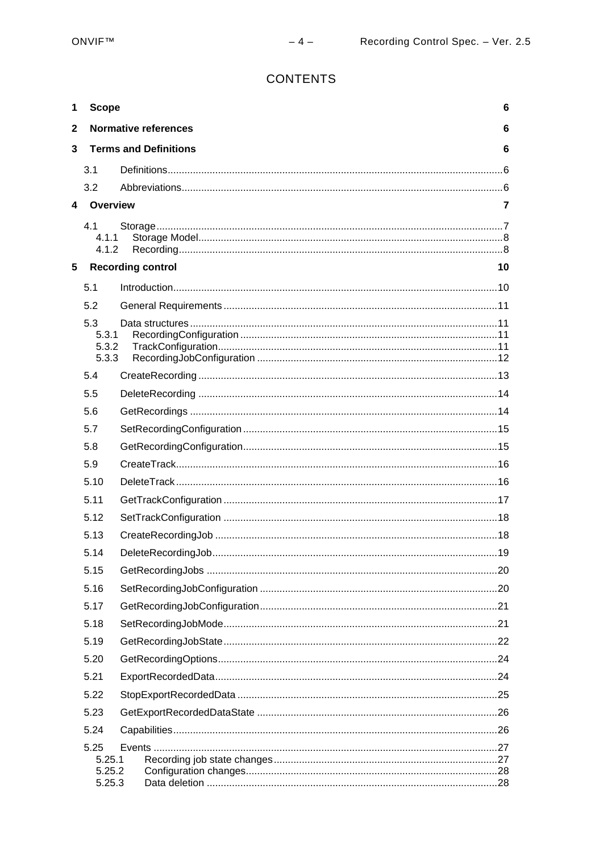# **CONTENTS**

| 1           | <b>Scope</b>               |                              | $6\phantom{1}$ |
|-------------|----------------------------|------------------------------|----------------|
| $\mathbf 2$ |                            | <b>Normative references</b>  | 6              |
| 3           |                            | <b>Terms and Definitions</b> | 6              |
|             | 3.1                        |                              |                |
|             | 3.2                        |                              |                |
| 4           | <b>Overview</b>            |                              | $\overline{7}$ |
|             | 4.1<br>4.1.1<br>4.1.2      |                              |                |
| 5           |                            | <b>Recording control</b>     | 10             |
|             | 5.1                        |                              |                |
|             | 5.2                        |                              |                |
|             | 5.3                        |                              |                |
|             | 5.3.1                      |                              |                |
|             | 5.3.2<br>5.3.3             |                              |                |
|             |                            |                              |                |
|             | 5.4                        |                              |                |
|             | 5.5                        |                              |                |
|             | 5.6                        |                              |                |
|             | 5.7                        |                              |                |
|             | 5.8                        |                              |                |
|             | 5.9                        |                              |                |
|             | 5.10                       |                              |                |
|             | 5.11                       |                              |                |
|             | 5.12                       |                              |                |
|             | 5.13                       |                              |                |
|             | 5.14                       |                              |                |
|             | 5.15                       |                              |                |
|             | 5.16                       |                              |                |
|             | 5.17                       |                              |                |
|             | 5.18                       |                              |                |
|             | 5.19                       |                              |                |
|             | 5.20                       |                              |                |
|             | 5.21                       |                              |                |
|             | 5.22                       |                              |                |
|             | 5.23                       |                              |                |
|             | 5.24                       |                              |                |
|             | 5.25                       |                              |                |
|             | 5.25.1<br>5.25.2<br>5.25.3 |                              |                |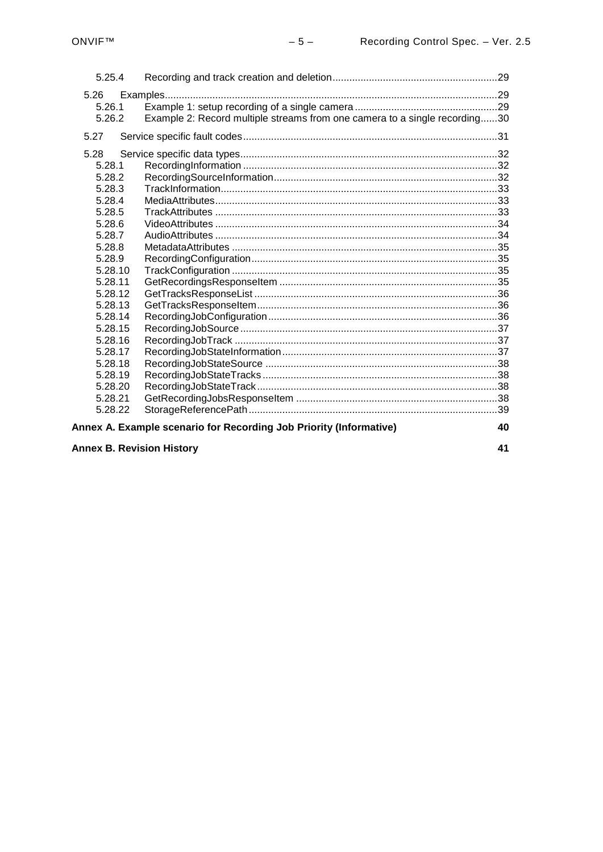| 5.25.4  |                                                                            |  |  |
|---------|----------------------------------------------------------------------------|--|--|
| 5.26    |                                                                            |  |  |
| 5.26.1  |                                                                            |  |  |
| 5.26.2  | Example 2: Record multiple streams from one camera to a single recording30 |  |  |
| 5.27    |                                                                            |  |  |
|         |                                                                            |  |  |
| 5.28    |                                                                            |  |  |
| 5.28.1  |                                                                            |  |  |
| 5.28.2  |                                                                            |  |  |
| 5.28.3  |                                                                            |  |  |
| 5.28.4  |                                                                            |  |  |
| 5.28.5  |                                                                            |  |  |
| 5.28.6  |                                                                            |  |  |
| 5.28.7  |                                                                            |  |  |
| 5.28.8  |                                                                            |  |  |
| 5.28.9  |                                                                            |  |  |
| 5.28.10 |                                                                            |  |  |
| 5.28.11 |                                                                            |  |  |
| 5.28.12 |                                                                            |  |  |
| 5.28.13 |                                                                            |  |  |
| 5.28.14 |                                                                            |  |  |
| 5.28.15 |                                                                            |  |  |
| 5.28.16 |                                                                            |  |  |
| 5.28.17 |                                                                            |  |  |
| 5.28.18 |                                                                            |  |  |
| 5.28.19 |                                                                            |  |  |
| 5.28.20 |                                                                            |  |  |
| 5.28.21 |                                                                            |  |  |
| 5.28.22 |                                                                            |  |  |
|         | Annex A. Example scenario for Recording Job Priority (Informative)<br>40   |  |  |

**Annex B. Revision History** 

41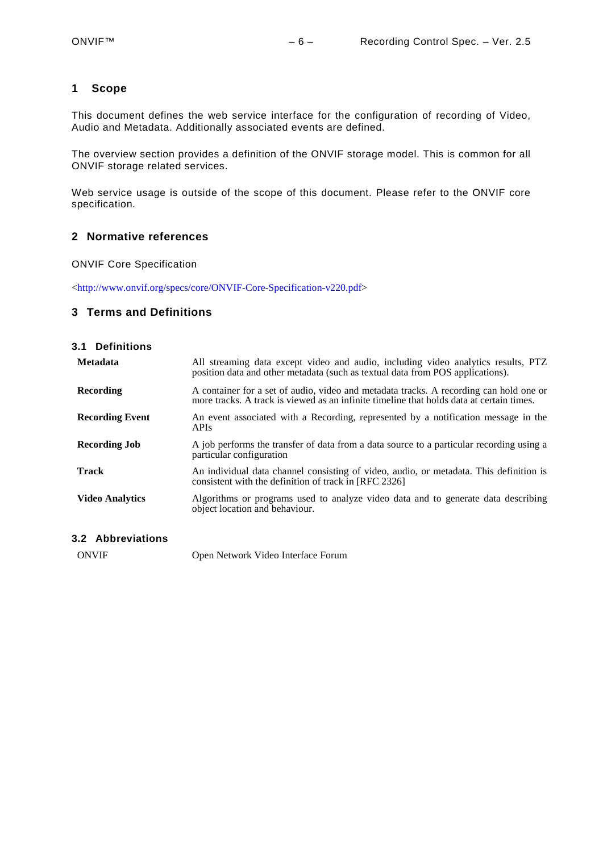# <span id="page-5-0"></span>**1 Scope**

This document defines the web service interface for the configuration of recording of Video, Audio and Metadata. Additionally associated events are defined.

The overview section provides a definition of the ONVIF storage model. This is common for all ONVIF storage related services.

Web service usage is outside of the scope of this document. Please refer to the ONVIF core specification.

# <span id="page-5-1"></span>**2 Normative references**

ONVIF Core Specification

[<http://www.onvif.org/specs/core/ONVIF-Core-Specification-v220.pdf>](http://www.onvif.org/specs/core/ONVIF-Core-Specification-v211.pdf)

# <span id="page-5-2"></span>**3 Terms and Definitions**

#### <span id="page-5-3"></span>**3.1 Definitions**

| <b>Metadata</b>        | All streaming data except video and audio, including video analytics results, PTZ<br>position data and other metadata (such as textual data from POS applications).                |
|------------------------|------------------------------------------------------------------------------------------------------------------------------------------------------------------------------------|
| Recording              | A container for a set of audio, video and metadata tracks. A recording can hold one or<br>more tracks. A track is viewed as an infinite timeline that holds data at certain times. |
| <b>Recording Event</b> | An event associated with a Recording, represented by a notification message in the<br><b>APIs</b>                                                                                  |
| <b>Recording Job</b>   | A job performs the transfer of data from a data source to a particular recording using a<br>particular configuration                                                               |
| Track                  | An individual data channel consisting of video, audio, or metadata. This definition is<br>consistent with the definition of track in [RFC 2326]                                    |
| <b>Video Analytics</b> | Algorithms or programs used to analyze video data and to generate data describing<br>object location and behaviour.                                                                |

# <span id="page-5-4"></span>**3.2 Abbreviations**

ONVIF Open Network Video Interface Forum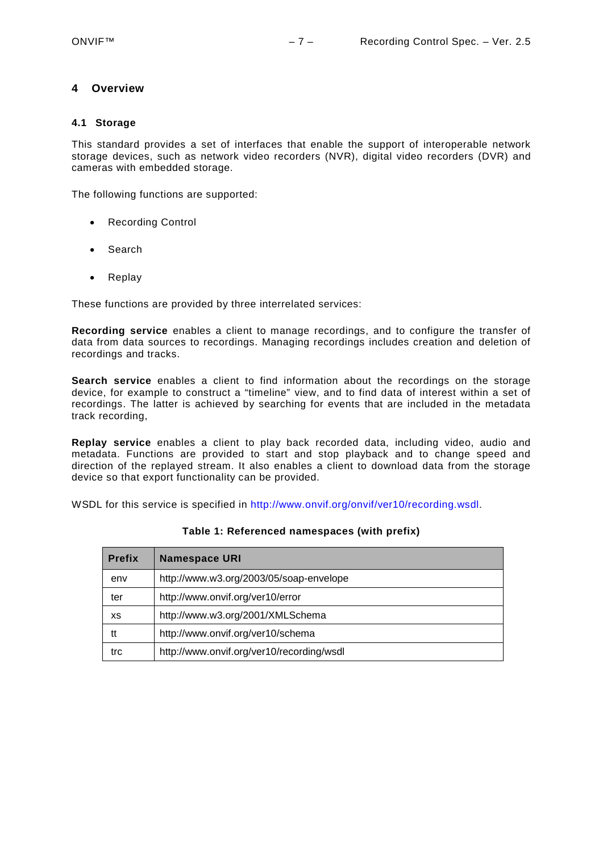# <span id="page-6-0"></span>**4 Overview**

#### <span id="page-6-1"></span>**4.1 Storage**

This standard provides a set of interfaces that enable the support of interoperable network storage devices, such as network video recorders (NVR), digital video recorders (DVR) and cameras with embedded storage.

The following functions are supported:

- Recording Control
- Search
- Replay

These functions are provided by three interrelated services:

**Recording service** enables a client to manage recordings, and to configure the transfer of data from data sources to recordings. Managing recordings includes creation and deletion of recordings and tracks.

**Search service** enables a client to find information about the recordings on the storage device, for example to construct a "timeline" view, and to find data of interest within a set of recordings. The latter is achieved by searching for events that are included in the metadata track recording,

**Replay service** enables a client to play back recorded data, including video, audio and metadata. Functions are provided to start and stop playback and to change speed and direction of the replayed stream. It also enables a client to download data from the storage device so that export functionality can be provided.

WSDL for this service is specified in [http://www.onvif.org/onvif/ver10/recording.wsdl.](http://www.onvif.org/onvif/ver10/recording.wsdl)

| <b>Prefix</b> | <b>Namespace URI</b>                      |
|---------------|-------------------------------------------|
| env           | http://www.w3.org/2003/05/soap-envelope   |
| ter           | http://www.onvif.org/ver10/error          |
| XS            | http://www.w3.org/2001/XMLSchema          |
| tt            | http://www.onvif.org/ver10/schema         |
| trc           | http://www.onvif.org/ver10/recording/wsdl |

#### **Table 1: Referenced namespaces (with prefix)**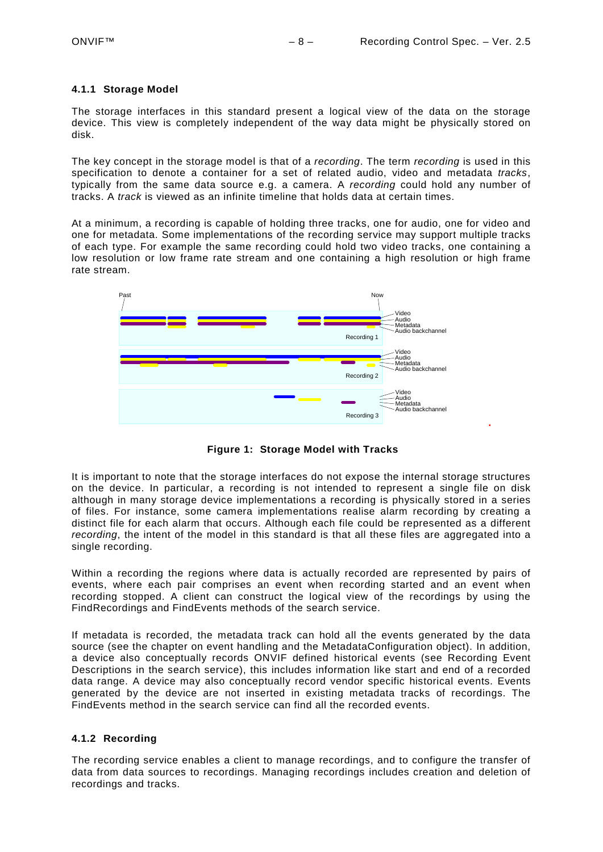#### <span id="page-7-0"></span>**4.1.1 Storage Model**

The storage interfaces in this standard present a logical view of the data on the storage device. This view is completely independent of the way data might be physically stored on disk.

The key concept in the storage model is that of a *recording*. The term *recording* is used in this specification to denote a container for a set of related audio, video and metadata *tracks*, typically from the same data source e.g. a camera. A *recording* could hold any number of tracks. A *track* is viewed as an infinite timeline that holds data at certain times.

At a minimum, a recording is capable of holding three tracks, one for audio, one for video and one for metadata. Some implementations of the recording service may support multiple tracks of each type. For example the same recording could hold two video tracks, one containing a low resolution or low frame rate stream and one containing a high resolution or high frame rate stream.



**Figure 1: Storage Model with Tracks**

It is important to note that the storage interfaces do not expose the internal storage structures on the device. In particular, a recording is not intended to represent a single file on disk although in many storage device implementations a recording is physically stored in a series of files. For instance, some camera implementations realise alarm recording by creating a distinct file for each alarm that occurs. Although each file could be represented as a different *recording*, the intent of the model in this standard is that all these files are aggregated into a single recording.

Within a recording the regions where data is actually recorded are represented by pairs of events, where each pair comprises an event when recording started and an event when recording stopped. A client can construct the logical view of the recordings by using the FindRecordings and FindEvents methods of the search service.

If metadata is recorded, the metadata track can hold all the events generated by the data source (see the chapter on event handling and the MetadataConfiguration object). In addition, a device also conceptually records ONVIF defined historical events (see Recording Event Descriptions in the search service), this includes information like start and end of a recorded data range. A device may also conceptually record vendor specific historical events. Events generated by the device are not inserted in existing metadata tracks of recordings. The FindEvents method in the search service can find all the recorded events.

#### <span id="page-7-1"></span>**4.1.2 Recording**

The recording service enables a client to manage recordings, and to configure the transfer of data from data sources to recordings. Managing recordings includes creation and deletion of recordings and tracks.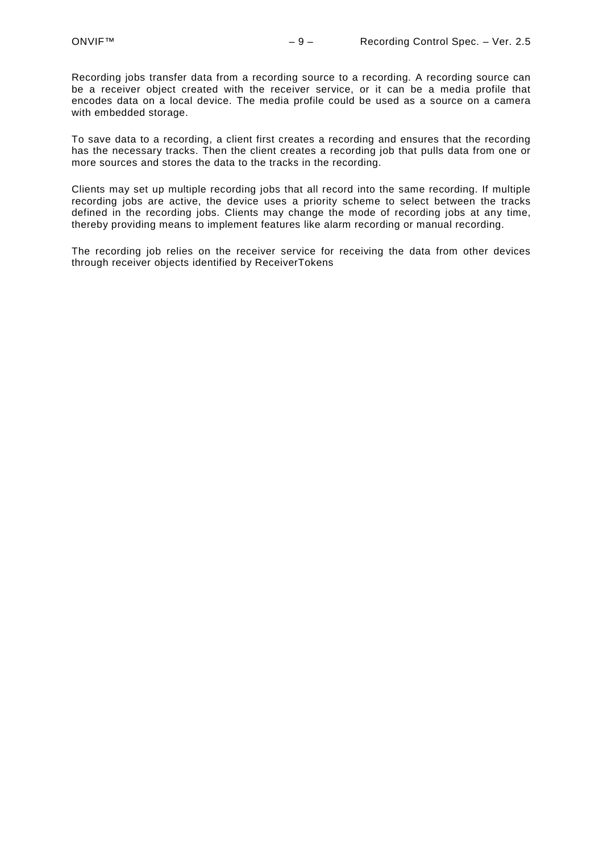Recording jobs transfer data from a recording source to a recording. A recording source can be a receiver object created with the receiver service, or it can be a media profile that encodes data on a local device. The media profile could be used as a source on a camera with embedded storage.

To save data to a recording, a client first creates a recording and ensures that the recording has the necessary tracks. Then the client creates a recording job that pulls data from one or more sources and stores the data to the tracks in the recording.

Clients may set up multiple recording jobs that all record into the same recording. If multiple recording jobs are active, the device uses a priority scheme to select between the tracks defined in the recording jobs. Clients may change the mode of recording jobs at any time, thereby providing means to implement features like alarm recording or manual recording.

The recording job relies on the receiver service for receiving the data from other devices through receiver objects identified by ReceiverTokens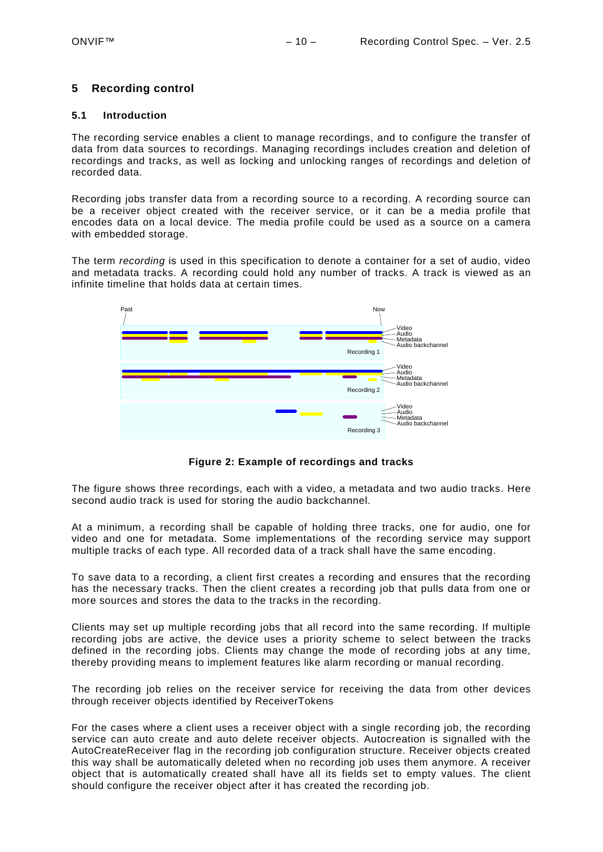# <span id="page-9-0"></span>**5 Recording control**

#### <span id="page-9-1"></span>**5.1 Introduction**

The recording service enables a client to manage recordings, and to configure the transfer of data from data sources to recordings. Managing recordings includes creation and deletion of recordings and tracks, as well as locking and unlocking ranges of recordings and deletion of recorded data.

Recording jobs transfer data from a recording source to a recording. A recording source can be a receiver object created with the receiver service, or it can be a media profile that encodes data on a local device. The media profile could be used as a source on a camera with embedded storage.

The term *recording* is used in this specification to denote a container for a set of audio, video and metadata tracks. A recording could hold any number of tracks. A track is viewed as an infinite timeline that holds data at certain times.



**Figure 2: Example of recordings and tracks**

The figure shows three recordings, each with a video, a metadata and two audio tracks. Here second audio track is used for storing the audio backchannel.

At a minimum, a recording shall be capable of holding three tracks, one for audio, one for video and one for metadata. Some implementations of the recording service may support multiple tracks of each type. All recorded data of a track shall have the same encoding.

To save data to a recording, a client first creates a recording and ensures that the recording has the necessary tracks. Then the client creates a recording job that pulls data from one or more sources and stores the data to the tracks in the recording.

Clients may set up multiple recording jobs that all record into the same recording. If multiple recording jobs are active, the device uses a priority scheme to select between the tracks defined in the recording jobs. Clients may change the mode of recording jobs at any time, thereby providing means to implement features like alarm recording or manual recording.

The recording job relies on the receiver service for receiving the data from other devices through receiver objects identified by ReceiverTokens

For the cases where a client uses a receiver object with a single recording job, the recording service can auto create and auto delete receiver objects. Autocreation is signalled with the AutoCreateReceiver flag in the recording job configuration structure. Receiver objects created this way shall be automatically deleted when no recording job uses them anymore. A receiver object that is automatically created shall have all its fields set to empty values. The client should configure the receiver object after it has created the recording job.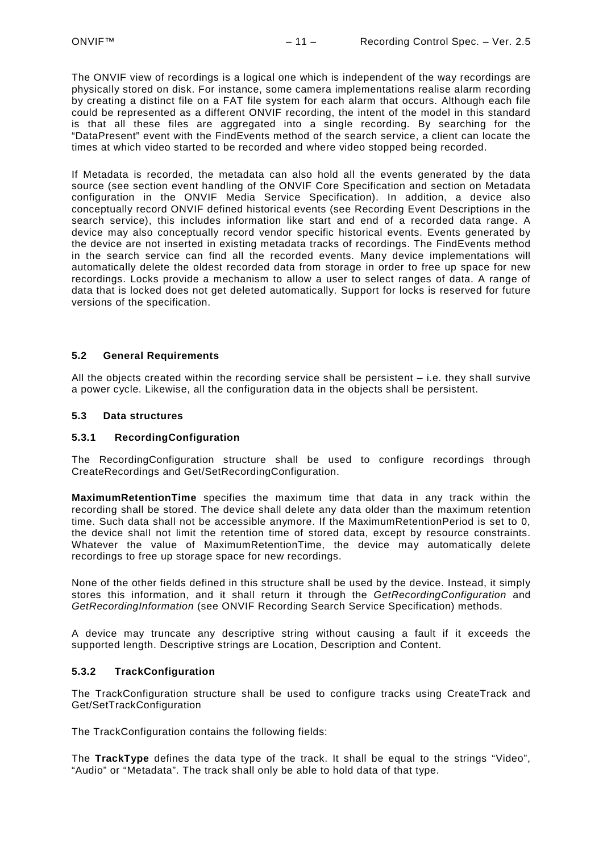The ONVIF view of recordings is a logical one which is independent of the way recordings are physically stored on disk. For instance, some camera implementations realise alarm recording by creating a distinct file on a FAT file system for each alarm that occurs. Although each file could be represented as a different ONVIF recording, the intent of the model in this standard is that all these files are aggregated into a single recording. By searching for the "DataPresent" event with the FindEvents method of the search service, a client can locate the times at which video started to be recorded and where video stopped being recorded.

If Metadata is recorded, the metadata can also hold all the events generated by the data source (see section event handling of the ONVIF Core Specification and section on Metadata configuration in the ONVIF Media Service Specification). In addition, a device also conceptually record ONVIF defined historical events (see Recording Event Descriptions in the search service), this includes information like start and end of a recorded data range. A device may also conceptually record vendor specific historical events. Events generated by the device are not inserted in existing metadata tracks of recordings. The FindEvents method in the search service can find all the recorded events. Many device implementations will automatically delete the oldest recorded data from storage in order to free up space for new recordings. Locks provide a mechanism to allow a user to select ranges of data. A range of data that is locked does not get deleted automatically. Support for locks is reserved for future versions of the specification.

#### <span id="page-10-0"></span>**5.2 General Requirements**

All the objects created within the recording service shall be persistent  $-$  i.e. they shall survive a power cycle. Likewise, all the configuration data in the objects shall be persistent.

#### <span id="page-10-1"></span>**5.3 Data structures**

#### <span id="page-10-2"></span>**5.3.1 RecordingConfiguration**

The RecordingConfiguration structure shall be used to configure recordings through CreateRecordings and Get/SetRecordingConfiguration.

**MaximumRetentionTime** specifies the maximum time that data in any track within the recording shall be stored. The device shall delete any data older than the maximum retention time. Such data shall not be accessible anymore. If the MaximumRetentionPeriod is set to 0, the device shall not limit the retention time of stored data, except by resource constraints. Whatever the value of MaximumRetentionTime, the device may automatically delete recordings to free up storage space for new recordings.

None of the other fields defined in this structure shall be used by the device. Instead, it simply stores this information, and it shall return it through the *GetRecordingConfiguration* and *GetRecordingInformation* (see ONVIF Recording Search Service Specification) methods.

A device may truncate any descriptive string without causing a fault if it exceeds the supported length. Descriptive strings are Location, Description and Content.

# <span id="page-10-3"></span>**5.3.2 TrackConfiguration**

The TrackConfiguration structure shall be used to configure tracks using CreateTrack and Get/SetTrackConfiguration

The TrackConfiguration contains the following fields:

The **TrackType** defines the data type of the track. It shall be equal to the strings "Video", "Audio" or "Metadata". The track shall only be able to hold data of that type.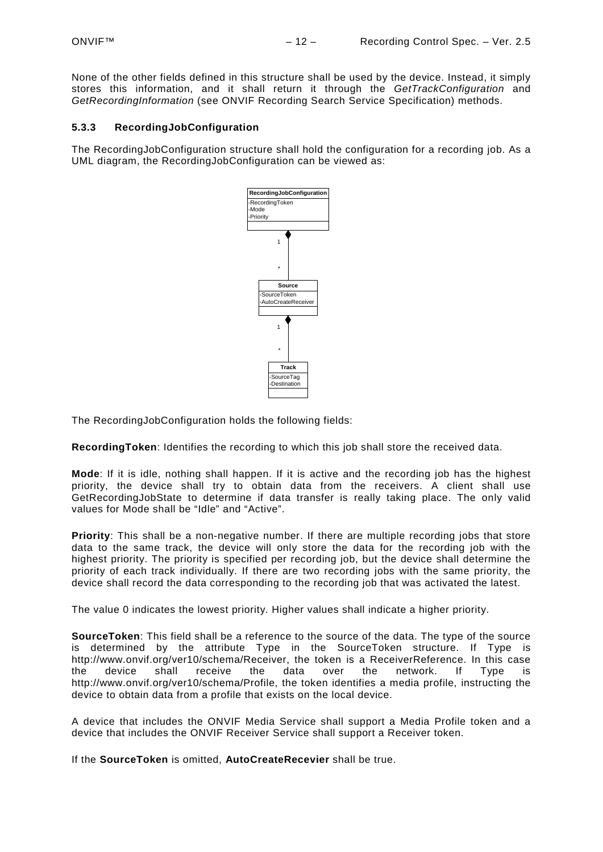None of the other fields defined in this structure shall be used by the device. Instead, it simply stores this information, and it shall return it through the *GetTrackConfiguration* and *GetRecordingInformation* (see ONVIF Recording Search Service Specification) methods.

#### <span id="page-11-0"></span>**5.3.3 RecordingJobConfiguration**

The RecordingJobConfiguration structure shall hold the configuration for a recording job. As a UML diagram, the RecordingJobConfiguration can be viewed as:



The RecordingJobConfiguration holds the following fields:

**RecordingToken**: Identifies the recording to which this job shall store the received data.

**Mode**: If it is idle, nothing shall happen. If it is active and the recording job has the highest priority, the device shall try to obtain data from the receivers. A client shall use GetRecordingJobState to determine if data transfer is really taking place. The only valid values for Mode shall be "Idle" and "Active".

**Priority**: This shall be a non-negative number. If there are multiple recording jobs that store data to the same track, the device will only store the data for the recording job with the highest priority. The priority is specified per recording job, but the device shall determine the priority of each track individually. If there are two recording jobs with the same priority, the device shall record the data corresponding to the recording job that was activated the latest.

The value 0 indicates the lowest priority. Higher values shall indicate a higher priority.

**SourceToken**: This field shall be a reference to the source of the data. The type of the source is determined by the attribute Type in the SourceToken structure. If Type is http://www.onvif.org/ver10/schema/Receiver, the token is a ReceiverReference. In this case<br>the device shall receive the data over the network. If Type is the device shall receive the data over the network. If Type is http://www.onvif.org/ver10/schema/Profile, the token identifies a media profile, instructing the device to obtain data from a profile that exists on the local device.

A device that includes the ONVIF Media Service shall support a Media Profile token and a device that includes the ONVIF Receiver Service shall support a Receiver token.

If the **SourceToken** is omitted, **AutoCreateRecevier** shall be true.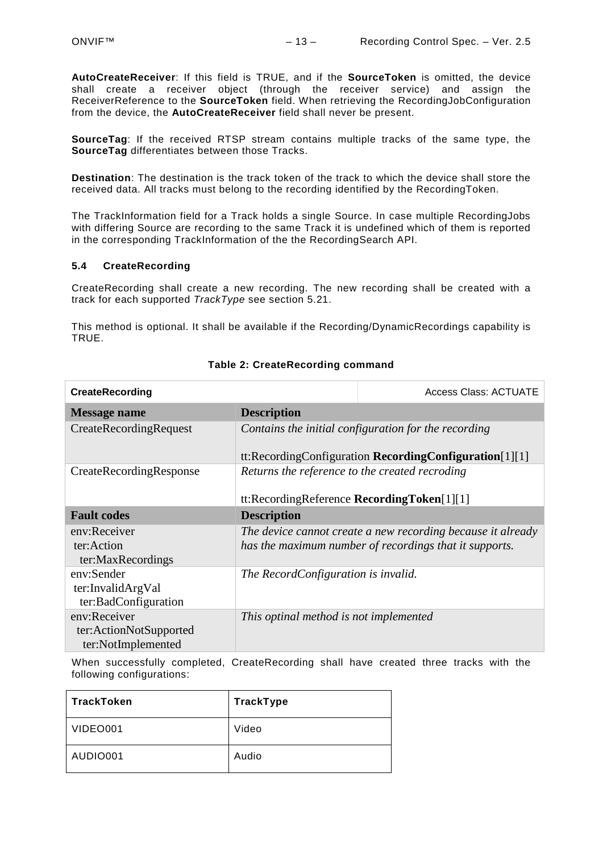**AutoCreateReceiver**: If this field is TRUE, and if the **SourceToken** is omitted, the device shall create a receiver object (through the receiver service) and assign the ReceiverReference to the **SourceToken** field. When retrieving the RecordingJobConfiguration from the device, the **AutoCreateReceiver** field shall never be present.

**SourceTag**: If the received RTSP stream contains multiple tracks of the same type, the **SourceTag** differentiates between those Tracks.

**Destination**: The destination is the track token of the track to which the device shall store the received data. All tracks must belong to the recording identified by the RecordingToken.

The TrackInformation field for a Track holds a single Source. In case multiple RecordingJobs with differing Source are recording to the same Track it is undefined which of them is reported in the corresponding TrackInformation of the the RecordingSearch API.

#### <span id="page-12-0"></span>**5.4 CreateRecording**

CreateRecording shall create a new recording. The new recording shall be created with a track for each supported *TrackType* see section [5.21.](#page-23-1)

This method is optional. It shall be available if the Recording/DynamicRecordings capability is TRUE.

| <b>CreateRecording</b>                                       | <b>Access Class: ACTUATE</b>                   |                                                                                                                       |
|--------------------------------------------------------------|------------------------------------------------|-----------------------------------------------------------------------------------------------------------------------|
| Message name                                                 | <b>Description</b>                             |                                                                                                                       |
| CreateRecordingRequest                                       |                                                | Contains the initial configuration for the recording<br>tt:RecordingConfiguration RecordingConfiguration $[1][1]$     |
| CreateRecordingResponse                                      | Returns the reference to the created recroding |                                                                                                                       |
|                                                              | tt:RecordingReference RecordingToken[1][1]     |                                                                                                                       |
| <b>Fault codes</b>                                           | <b>Description</b>                             |                                                                                                                       |
| env:Receiver<br>ter:Action<br>ter:MaxRecordings              |                                                | The device cannot create a new recording because it already<br>has the maximum number of recordings that it supports. |
| env:Sender<br>ter:InvalidArgVal<br>ter:BadConfiguration      | The RecordConfiguration is invalid.            |                                                                                                                       |
| env:Receiver<br>ter:ActionNotSupported<br>ter:NotImplemented | This optinal method is not implemented         |                                                                                                                       |

#### **Table 2: CreateRecording command**

When successfully completed, CreateRecording shall have created three tracks with the following configurations:

| TrackToken | TrackType |
|------------|-----------|
| VIDEO001   | Video     |
| AUDIO001   | Audio     |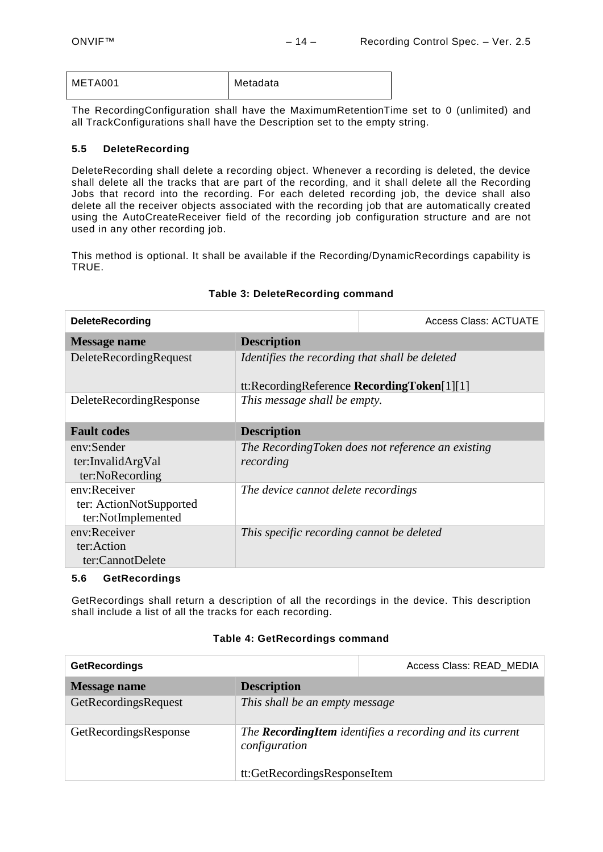| META001 | Metadata |
|---------|----------|
|         |          |

The RecordingConfiguration shall have the MaximumRetentionTime set to 0 (unlimited) and all TrackConfigurations shall have the Description set to the empty string.

# <span id="page-13-0"></span>**5.5 DeleteRecording**

DeleteRecording shall delete a recording object. Whenever a recording is deleted, the device shall delete all the tracks that are part of the recording, and it shall delete all the Recording Jobs that record into the recording. For each deleted recording job, the device shall also delete all the receiver objects associated with the recording job that are automatically created using the AutoCreateReceiver field of the recording job configuration structure and are not used in any other recording job.

This method is optional. It shall be available if the Recording/DynamicRecordings capability is TRUE.

| <b>DeleteRecording</b>                                        |                                                                                                 | <b>Access Class: ACTUATE</b>                      |
|---------------------------------------------------------------|-------------------------------------------------------------------------------------------------|---------------------------------------------------|
| Message name                                                  | <b>Description</b>                                                                              |                                                   |
| DeleteRecordingRequest                                        | Identifies the recording that shall be deleted<br>tt:RecordingReference RecordingToken $[1][1]$ |                                                   |
| DeleteRecordingResponse                                       | This message shall be empty.                                                                    |                                                   |
| <b>Fault codes</b>                                            | <b>Description</b>                                                                              |                                                   |
| env:Sender<br>ter:InvalidArgVal<br>ter:NoRecording            | recording                                                                                       | The RecordingToken does not reference an existing |
| env:Receiver<br>ter: ActionNotSupported<br>ter:NotImplemented | The device cannot delete recordings                                                             |                                                   |
| env:Receiver<br>ter:Action<br>ter:CannotDelete                | This specific recording cannot be deleted                                                       |                                                   |
| $A - 1B - 2 - 11$                                             |                                                                                                 |                                                   |

# **Table 3: DeleteRecording command**

#### <span id="page-13-1"></span>**5.6 GetRecordings**

GetRecordings shall return a description of all the recordings in the device. This description shall include a list of all the tracks for each recording.

#### **Table 4: GetRecordings command**

| <b>GetRecordings</b>  |                                                                                                                  | Access Class: READ MEDIA |
|-----------------------|------------------------------------------------------------------------------------------------------------------|--------------------------|
| <b>Message name</b>   | <b>Description</b>                                                                                               |                          |
| GetRecordingsRequest  | This shall be an empty message                                                                                   |                          |
| GetRecordingsResponse | The <b>RecordingItem</b> identifies a recording and its current<br>configuration<br>tt:GetRecordingsResponseItem |                          |
|                       |                                                                                                                  |                          |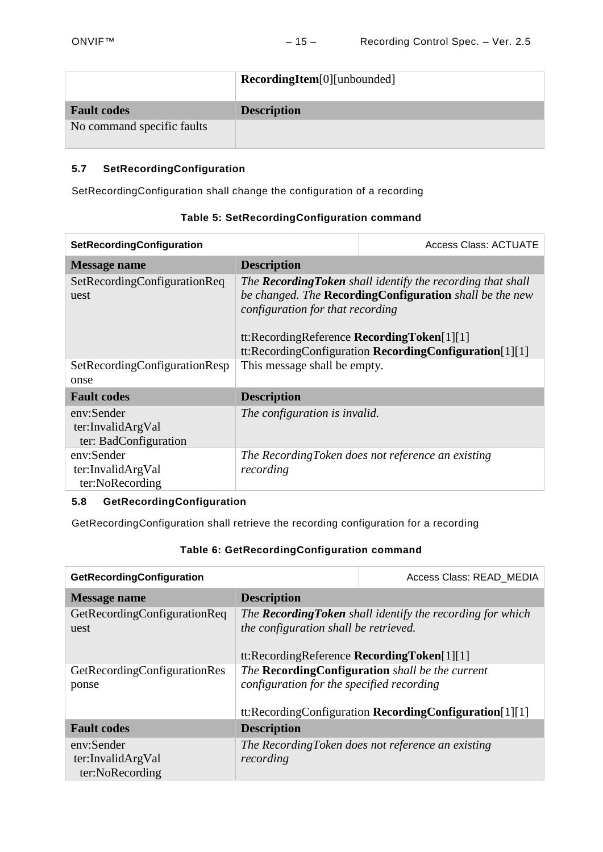|                            | RecordingItem[0][unbounded] |  |
|----------------------------|-----------------------------|--|
| <b>Fault codes</b>         | <b>Description</b>          |  |
| No command specific faults |                             |  |

# <span id="page-14-0"></span>**5.7 SetRecordingConfiguration**

SetRecordingConfiguration shall change the configuration of a recording

| SetRecordingConfiguration                                |                                                                                                                                                                                                                                                                                     | <b>Access Class: ACTUATE</b>                      |  |
|----------------------------------------------------------|-------------------------------------------------------------------------------------------------------------------------------------------------------------------------------------------------------------------------------------------------------------------------------------|---------------------------------------------------|--|
| <b>Message name</b>                                      | <b>Description</b>                                                                                                                                                                                                                                                                  |                                                   |  |
| SetRecordingConfigurationReq<br>uest                     | The <b>Recording Token</b> shall identify the recording that shall<br>be changed. The <b>RecordingConfiguration</b> shall be the new<br>configuration for that recording<br>tt:RecordingReference RecordingToken[1][1]<br>tt:RecordingConfiguration RecordingConfiguration $[1][1]$ |                                                   |  |
| SetRecordingConfigurationResp<br>onse                    | This message shall be empty.                                                                                                                                                                                                                                                        |                                                   |  |
| <b>Fault codes</b>                                       | <b>Description</b>                                                                                                                                                                                                                                                                  |                                                   |  |
| env:Sender<br>ter:InvalidArgVal<br>ter: BadConfiguration | The configuration is invalid.                                                                                                                                                                                                                                                       |                                                   |  |
| env:Sender<br>ter:InvalidArgVal<br>ter:NoRecording       | recording                                                                                                                                                                                                                                                                           | The RecordingToken does not reference an existing |  |

# **Table 5: SetRecordingConfiguration command**

# <span id="page-14-1"></span>**5.8 GetRecordingConfiguration**

GetRecordingConfiguration shall retrieve the recording configuration for a recording

# **Table 6: GetRecordingConfiguration command**

| GetRecordingConfiguration                                                     | Access Class: READ MEDIA                  |                                                                                                                 |
|-------------------------------------------------------------------------------|-------------------------------------------|-----------------------------------------------------------------------------------------------------------------|
| <b>Message name</b>                                                           | <b>Description</b>                        |                                                                                                                 |
| GetRecordingConfigurationReq<br>the configuration shall be retrieved.<br>uest |                                           | The <b>Recording Token</b> shall identify the recording for which<br>tt:RecordingReference RecordingToken[1][1] |
| GetRecordingConfigurationRes<br>ponse                                         | configuration for the specified recording | The RecordingConfiguration shall be the current<br>tt:RecordingConfiguration RecordingConfiguration $[1][1]$    |
| <b>Fault codes</b>                                                            | <b>Description</b>                        |                                                                                                                 |
| env:Sender<br>ter:InvalidArgVal<br>ter:NoRecording                            | recording                                 | The RecordingToken does not reference an existing                                                               |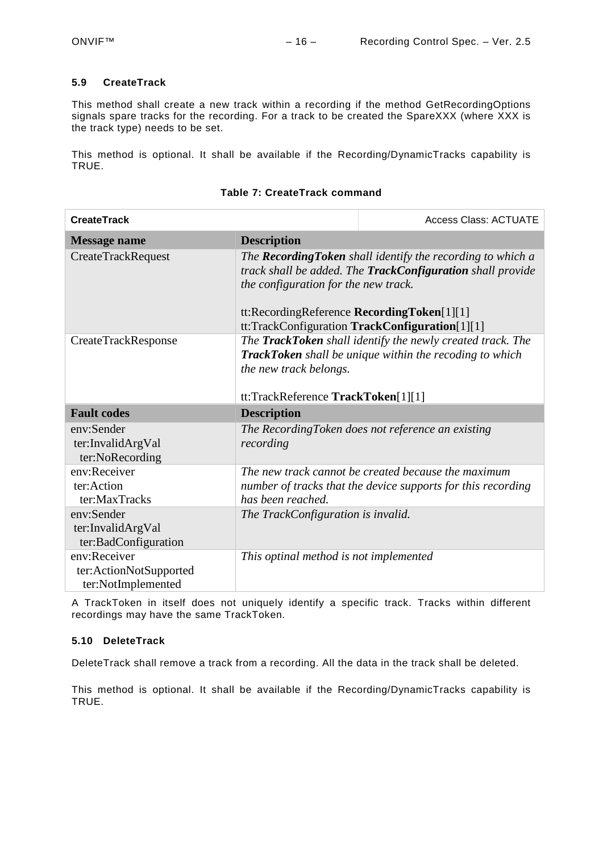#### <span id="page-15-0"></span>**5.9 CreateTrack**

This method shall create a new track within a recording if the method GetRecordingOptions signals spare tracks for the recording. For a track to be created the SpareXXX (where XXX is the track type) needs to be set.

This method is optional. It shall be available if the Recording/DynamicTracks capability is TRUE.

| <b>CreateTrack</b>                                           |                                                                                    | <b>Access Class: ACTUATE</b>                                                                                                                                                       |
|--------------------------------------------------------------|------------------------------------------------------------------------------------|------------------------------------------------------------------------------------------------------------------------------------------------------------------------------------|
| <b>Message name</b>                                          | <b>Description</b>                                                                 |                                                                                                                                                                                    |
| <b>CreateTrackRequest</b>                                    | the configuration for the new track.<br>tt:RecordingReference RecordingToken[1][1] | The Recording Token shall identify the recording to which a<br>track shall be added. The <b>TrackConfiguration</b> shall provide<br>tt:TrackConfiguration TrackConfiguration[1][1] |
| CreateTrackResponse                                          | the new track belongs.<br>tt:TrackReference TrackToken[1][1]                       | The TrackToken shall identify the newly created track. The<br><b>TrackToken</b> shall be unique within the recoding to which                                                       |
| <b>Fault codes</b>                                           | <b>Description</b>                                                                 |                                                                                                                                                                                    |
| env:Sender<br>ter:InvalidArgVal<br>ter:NoRecording           | recording                                                                          | The RecordingToken does not reference an existing                                                                                                                                  |
| env:Receiver<br>ter:Action<br>ter:MaxTracks                  | has been reached.                                                                  | The new track cannot be created because the maximum<br>number of tracks that the device supports for this recording                                                                |
| env:Sender<br>ter:InvalidArgVal<br>ter:BadConfiguration      | The TrackConfiguration is invalid.                                                 |                                                                                                                                                                                    |
| env:Receiver<br>ter:ActionNotSupported<br>ter:NotImplemented | This optinal method is not implemented                                             |                                                                                                                                                                                    |

A TrackToken in itself does not uniquely identify a specific track. Tracks within different recordings may have the same TrackToken.

# <span id="page-15-1"></span>**5.10 DeleteTrack**

DeleteTrack shall remove a track from a recording. All the data in the track shall be deleted.

This method is optional. It shall be available if the Recording/DynamicTracks capability is TRUE.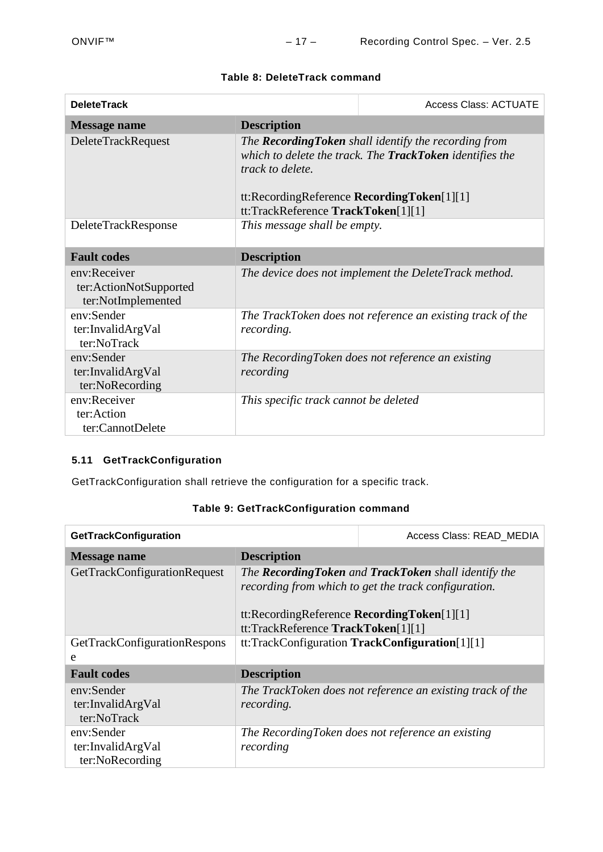| <b>DeleteTrack</b>                                           |                                                                                                      | <b>Access Class: ACTUATE</b>                                                                                      |
|--------------------------------------------------------------|------------------------------------------------------------------------------------------------------|-------------------------------------------------------------------------------------------------------------------|
| <b>Message name</b>                                          | <b>Description</b>                                                                                   |                                                                                                                   |
| <b>DeleteTrackRequest</b>                                    | track to delete.<br>tt:RecordingReference RecordingToken[1][1]<br>tt:TrackReference TrackToken[1][1] | The Recording Token shall identify the recording from<br>which to delete the track. The TrackToken identifies the |
| DeleteTrackResponse                                          | This message shall be empty.                                                                         |                                                                                                                   |
| <b>Fault codes</b>                                           | <b>Description</b>                                                                                   |                                                                                                                   |
| env:Receiver<br>ter:ActionNotSupported<br>ter:NotImplemented |                                                                                                      | The device does not implement the DeleteTrack method.                                                             |
| env:Sender<br>ter:InvalidArgVal<br>ter:NoTrack               | recording.                                                                                           | The TrackToken does not reference an existing track of the                                                        |
| env:Sender<br>ter:InvalidArgVal<br>ter:NoRecording           | recording                                                                                            | The RecordingToken does not reference an existing                                                                 |
| env:Receiver<br>ter:Action<br>ter:CannotDelete               | This specific track cannot be deleted                                                                |                                                                                                                   |

# **Table 8: DeleteTrack command**

# <span id="page-16-0"></span>**5.11 GetTrackConfiguration**

GetTrackConfiguration shall retrieve the configuration for a specific track.

| GetTrackConfiguration                              |                                                                                  | Access Class: READ MEDIA                                                                                       |
|----------------------------------------------------|----------------------------------------------------------------------------------|----------------------------------------------------------------------------------------------------------------|
| Message name                                       | <b>Description</b>                                                               |                                                                                                                |
| GetTrackConfigurationRequest                       | tt:RecordingReference RecordingToken[1][1]<br>tt:TrackReference TrackToken[1][1] | The Recording Token and Track Token shall identify the<br>recording from which to get the track configuration. |
| GetTrackConfigurationRespons                       |                                                                                  | tt:TrackConfiguration TrackConfiguration[1][1]                                                                 |
| e                                                  |                                                                                  |                                                                                                                |
| <b>Fault codes</b>                                 | <b>Description</b>                                                               |                                                                                                                |
| env:Sender<br>ter:InvalidArgVal<br>ter:NoTrack     | recording.                                                                       | The TrackToken does not reference an existing track of the                                                     |
| env:Sender<br>ter:InvalidArgVal<br>ter:NoRecording | recording                                                                        | The RecordingToken does not reference an existing                                                              |

# **Table 9: GetTrackConfiguration command**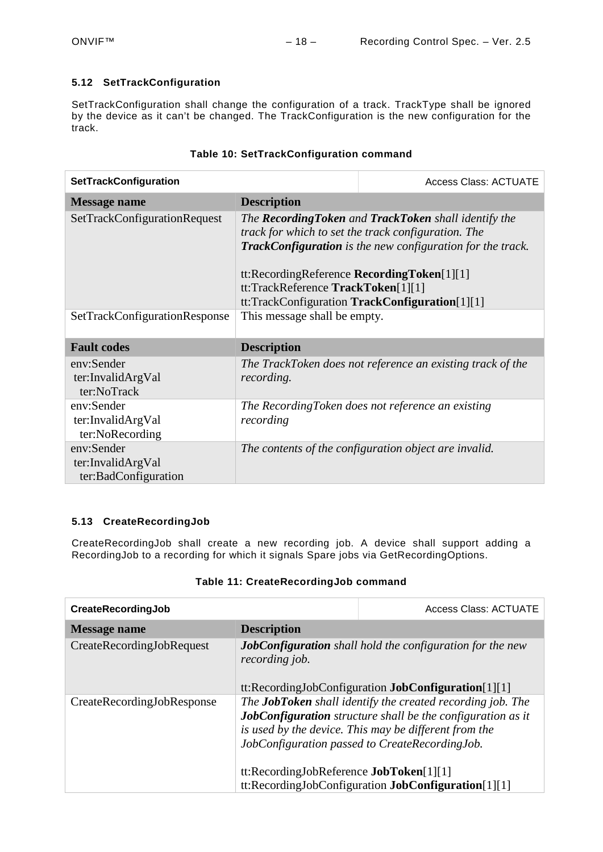# <span id="page-17-0"></span>**5.12 SetTrackConfiguration**

SetTrackConfiguration shall change the configuration of a track. TrackType shall be ignored by the device as it can't be changed. The TrackConfiguration is the new configuration for the track.

| SetTrackConfiguration                                   |                                                                                  | <b>Access Class: ACTUATE</b>                                                                                                                                                                                                                                 |
|---------------------------------------------------------|----------------------------------------------------------------------------------|--------------------------------------------------------------------------------------------------------------------------------------------------------------------------------------------------------------------------------------------------------------|
| <b>Message name</b>                                     | <b>Description</b>                                                               |                                                                                                                                                                                                                                                              |
| SetTrackConfigurationRequest                            | tt:RecordingReference RecordingToken[1][1]<br>tt:TrackReference TrackToken[1][1] | The <b>Recording Token</b> and <b>TrackToken</b> shall identify the<br>track for which to set the track configuration. The<br><b>TrackConfiguration</b> is the new configuration for the track.<br>$tt:TrackConfiguration \textbf{TrackConfiguration[1][1]}$ |
| SetTrackConfigurationResponse                           | This message shall be empty.                                                     |                                                                                                                                                                                                                                                              |
| <b>Fault codes</b>                                      | <b>Description</b>                                                               |                                                                                                                                                                                                                                                              |
| env:Sender<br>ter:InvalidArgVal<br>ter:NoTrack          | recording.                                                                       | The TrackToken does not reference an existing track of the                                                                                                                                                                                                   |
| env:Sender<br>ter:InvalidArgVal<br>ter:NoRecording      | recording                                                                        | The RecordingToken does not reference an existing                                                                                                                                                                                                            |
| env:Sender<br>ter:InvalidArgVal<br>ter:BadConfiguration |                                                                                  | The contents of the configuration object are invalid.                                                                                                                                                                                                        |

# **Table 10: SetTrackConfiguration command**

# <span id="page-17-1"></span>**5.13 CreateRecordingJob**

CreateRecordingJob shall create a new recording job. A device shall support adding a RecordingJob to a recording for which it signals Spare jobs via GetRecordingOptions.

| CreateRecordingJob         |                                                                                                                                                                                                                                                                                               | <b>Access Class: ACTUATE</b>                                                                                                    |
|----------------------------|-----------------------------------------------------------------------------------------------------------------------------------------------------------------------------------------------------------------------------------------------------------------------------------------------|---------------------------------------------------------------------------------------------------------------------------------|
| <b>Message name</b>        | <b>Description</b>                                                                                                                                                                                                                                                                            |                                                                                                                                 |
| CreateRecordingJobRequest  | recording job.                                                                                                                                                                                                                                                                                | <b>JobConfiguration</b> shall hold the configuration for the new<br>tt:RecordingJobConfiguration <b>JobConfiguration</b> [1][1] |
| CreateRecordingJobResponse | The <b>JobToken</b> shall identify the created recording job. The<br><b>JobConfiguration</b> structure shall be the configuration as it<br>is used by the device. This may be different from the<br>JobConfiguration passed to CreateRecordingJob.<br>tt:RecordingJobReference JobToken[1][1] |                                                                                                                                 |
|                            |                                                                                                                                                                                                                                                                                               | tt:RecordingJobConfiguration JobConfiguration[1][1]                                                                             |

# **Table 11: CreateRecordingJob command**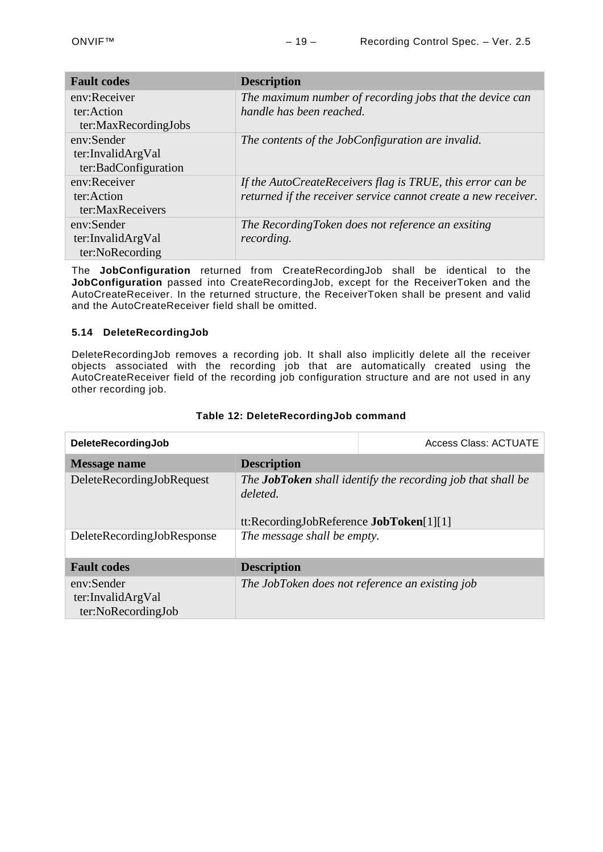| <b>Fault codes</b>   | <b>Description</b>                                             |
|----------------------|----------------------------------------------------------------|
| env:Receiver         | The maximum number of recording jobs that the device can       |
| ter:Action           | handle has been reached.                                       |
| ter:MaxRecordingJobs |                                                                |
| env:Sender           | The contents of the JobConfiguration are invalid.              |
| ter:InvalidArgVal    |                                                                |
| ter:BadConfiguration |                                                                |
| env:Receiver         | If the AutoCreateReceivers flag is TRUE, this error can be     |
| ter:Action           | returned if the receiver service cannot create a new receiver. |
| ter:MaxReceivers     |                                                                |
| env:Sender           | The RecordingToken does not reference an exsiting              |
| ter:InvalidArgVal    | recording.                                                     |
| ter:NoRecording      |                                                                |

The **JobConfiguration** returned from CreateRecordingJob shall be identical to the **JobConfiguration** passed into CreateRecordingJob, except for the ReceiverToken and the AutoCreateReceiver. In the returned structure, the ReceiverToken shall be present and valid and the AutoCreateReceiver field shall be omitted.

#### <span id="page-18-0"></span>**5.14 DeleteRecordingJob**

DeleteRecordingJob removes a recording job. It shall also implicitly delete all the receiver objects associated with the recording job that are automatically created using the AutoCreateReceiver field of the recording job configuration structure and are not used in any other recording job.

| DeleteRecordingJob                                    |                                                     | <b>Access Class: ACTUATE</b>                                       |
|-------------------------------------------------------|-----------------------------------------------------|--------------------------------------------------------------------|
| <b>Message name</b>                                   | <b>Description</b>                                  |                                                                    |
| DeleteRecordingJobRequest                             | deleted.<br>tt:RecordingJobReference JobToken[1][1] | The <b>JobToken</b> shall identify the recording job that shall be |
| DeleteRecordingJobResponse                            | The message shall be empty.                         |                                                                    |
| <b>Fault codes</b>                                    | <b>Description</b>                                  |                                                                    |
| env:Sender<br>ter:InvalidArgVal<br>ter:NoRecordingJob |                                                     | The JobToken does not reference an existing job                    |

# **Table 12: DeleteRecordingJob command**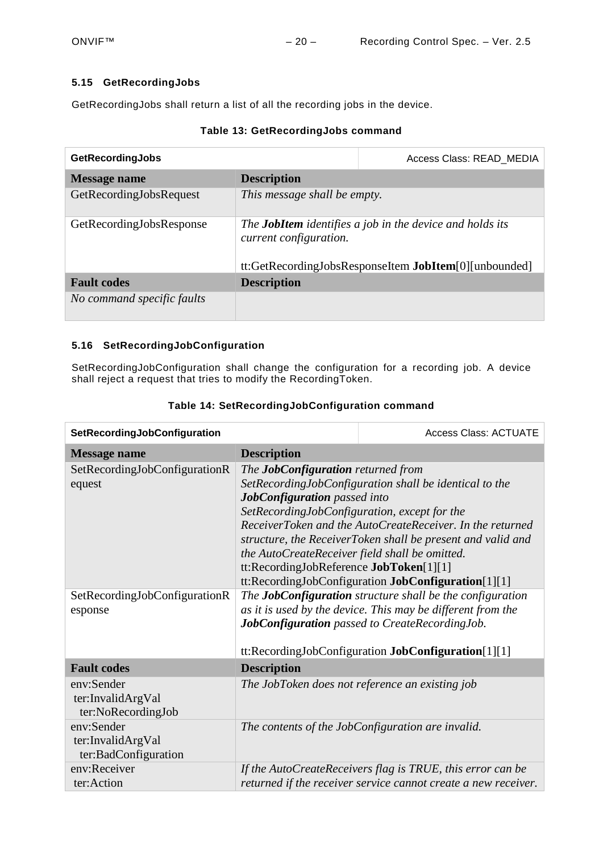# <span id="page-19-0"></span>**5.15 GetRecordingJobs**

GetRecordingJobs shall return a list of all the recording jobs in the device.

|  | Table 13: GetRecordingJobs command |  |
|--|------------------------------------|--|
|--|------------------------------------|--|

| <b>GetRecordingJobs</b>    |                                                                                                                                                    | Access Class: READ MEDIA |
|----------------------------|----------------------------------------------------------------------------------------------------------------------------------------------------|--------------------------|
| <b>Message name</b>        | <b>Description</b>                                                                                                                                 |                          |
| GetRecordingJobsRequest    | This message shall be empty.                                                                                                                       |                          |
| GetRecordingJobsResponse   | The <b>JobItem</b> identifies a job in the device and holds its<br>current configuration.<br>tt:GetRecordingJobsResponseItem JobItem[0][unbounded] |                          |
| <b>Fault codes</b>         | <b>Description</b>                                                                                                                                 |                          |
| No command specific faults |                                                                                                                                                    |                          |

# <span id="page-19-1"></span>**5.16 SetRecordingJobConfiguration**

SetRecordingJobConfiguration shall change the configuration for a recording job. A device shall reject a request that tries to modify the RecordingToken.

| SetRecordingJobConfiguration                            |                                                                                                                                                                                                                        | <b>Access Class: ACTUATE</b>                                                                                                                                                                                                                    |
|---------------------------------------------------------|------------------------------------------------------------------------------------------------------------------------------------------------------------------------------------------------------------------------|-------------------------------------------------------------------------------------------------------------------------------------------------------------------------------------------------------------------------------------------------|
| <b>Message name</b>                                     | <b>Description</b>                                                                                                                                                                                                     |                                                                                                                                                                                                                                                 |
| SetRecordingJobConfigurationR<br>equest                 | The <b>JobConfiguration</b> returned from<br>JobConfiguration passed into<br>SetRecordingJobConfiguration, except for the<br>the AutoCreateReceiver field shall be omitted.<br>tt:RecordingJobReference JobToken[1][1] | SetRecordingJobConfiguration shall be identical to the<br>ReceiverToken and the AutoCreateReceiver. In the returned<br>structure, the ReceiverToken shall be present and valid and<br>tt:RecordingJobConfiguration JobConfiguration[1][1]       |
| SetRecordingJobConfigurationR<br>esponse                |                                                                                                                                                                                                                        | The <b>JobConfiguration</b> structure shall be the configuration<br>as it is used by the device. This may be different from the<br><b>JobConfiguration</b> passed to CreateRecordingJob.<br>tt:RecordingJobConfiguration JobConfiguration[1][1] |
| <b>Fault codes</b>                                      | <b>Description</b>                                                                                                                                                                                                     |                                                                                                                                                                                                                                                 |
| env:Sender<br>ter:InvalidArgVal<br>ter:NoRecordingJob   |                                                                                                                                                                                                                        | The JobToken does not reference an existing job                                                                                                                                                                                                 |
| env:Sender<br>ter:InvalidArgVal<br>ter:BadConfiguration |                                                                                                                                                                                                                        | The contents of the JobConfiguration are invalid.                                                                                                                                                                                               |
| env:Receiver<br>ter:Action                              |                                                                                                                                                                                                                        | If the AutoCreateReceivers flag is TRUE, this error can be<br>returned if the receiver service cannot create a new receiver.                                                                                                                    |

# **Table 14: SetRecordingJobConfiguration command**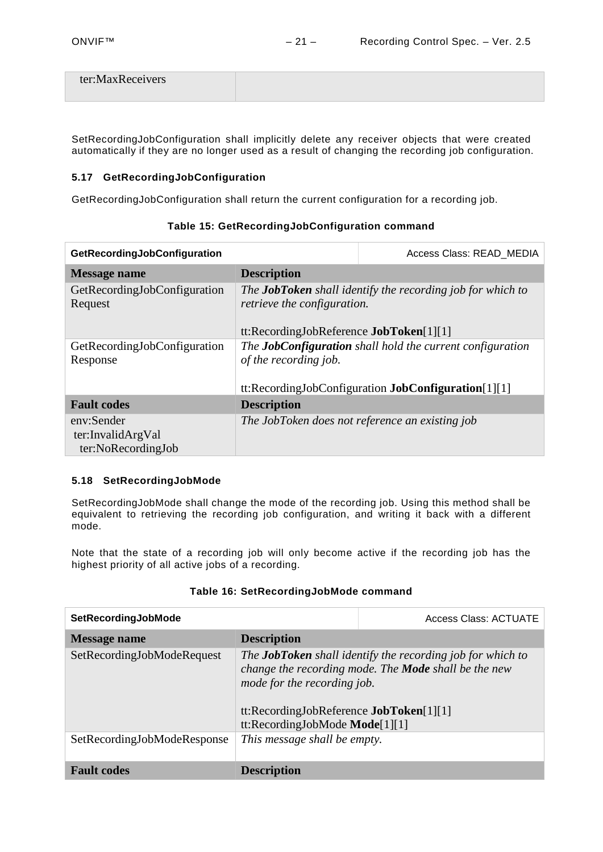| ter:MaxReceivers |  |
|------------------|--|
|                  |  |

SetRecordingJobConfiguration shall implicitly delete any receiver objects that were created automatically if they are no longer used as a result of changing the recording job configuration.

#### <span id="page-20-0"></span>**5.17 GetRecordingJobConfiguration**

GetRecordingJobConfiguration shall return the current configuration for a recording job.

| GetRecordingJobConfiguration                          |                                                                                                                                                  | Access Class: READ_MEDIA |
|-------------------------------------------------------|--------------------------------------------------------------------------------------------------------------------------------------------------|--------------------------|
| <b>Message name</b>                                   | <b>Description</b>                                                                                                                               |                          |
| GetRecordingJobConfiguration<br>Request               | The JobToken shall identify the recording job for which to<br><i>retrieve the configuration.</i><br>tt:RecordingJobReference JobToken[1][1]      |                          |
| GetRecordingJobConfiguration<br>Response              | The <b>JobConfiguration</b> shall hold the current configuration<br>of the recording job.<br>tt:RecordingJobConfiguration JobConfiguration[1][1] |                          |
| <b>Fault</b> codes                                    | <b>Description</b>                                                                                                                               |                          |
| env:Sender<br>ter:InvalidArgVal<br>ter:NoRecordingJob | The JobToken does not reference an existing job                                                                                                  |                          |

# **Table 15: GetRecordingJobConfiguration command**

#### <span id="page-20-1"></span>**5.18 SetRecordingJobMode**

SetRecordingJobMode shall change the mode of the recording job. Using this method shall be equivalent to retrieving the recording job configuration, and writing it back with a different mode.

Note that the state of a recording job will only become active if the recording job has the highest priority of all active jobs of a recording.

|                                                                                                                                                                                                                                                | <b>Access Class: ACTUATE</b> |
|------------------------------------------------------------------------------------------------------------------------------------------------------------------------------------------------------------------------------------------------|------------------------------|
| <b>Description</b>                                                                                                                                                                                                                             |                              |
| The <b>JobToken</b> shall identify the recording job for which to<br>change the recording mode. The <b>Mode</b> shall be the new<br>mode for the recording job.<br>tt:RecordingJobReference $JobToken[1][1]$<br>tt:RecordingJobMode Mode[1][1] |                              |
| This message shall be empty.                                                                                                                                                                                                                   |                              |
| <b>Description</b>                                                                                                                                                                                                                             |                              |
|                                                                                                                                                                                                                                                |                              |

# **Table 16: SetRecordingJobMode command**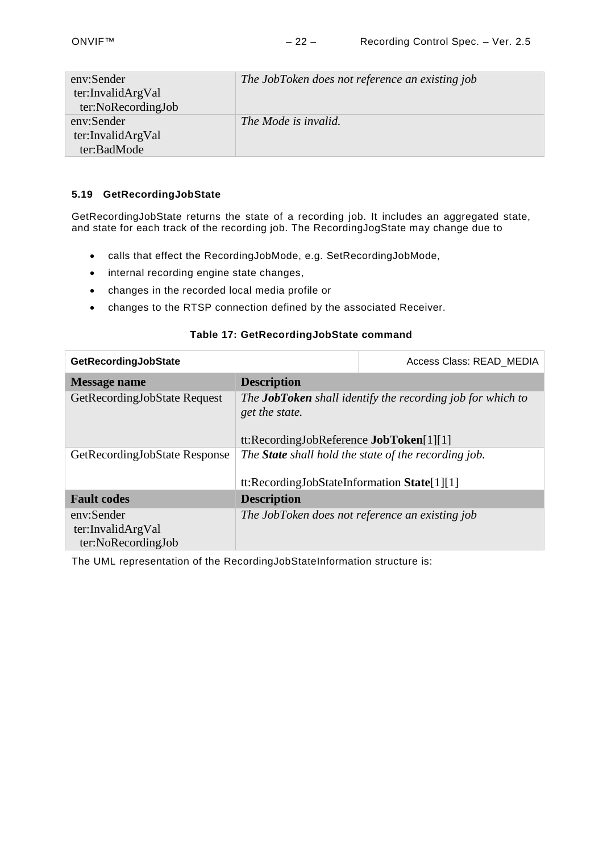| env:Sender<br>ter:InvalidArgVal<br>ter:NoRecordingJob | The JobToken does not reference an existing job |
|-------------------------------------------------------|-------------------------------------------------|
| env:Sender<br>ter:InvalidArgVal<br>ter:BadMode        | The Mode is invalid.                            |

# <span id="page-21-0"></span>**5.19 GetRecordingJobState**

GetRecordingJobState returns the state of a recording job. It includes an aggregated state, and state for each track of the recording job. The RecordingJogState may change due to

- calls that effect the RecordingJobMode, e.g. SetRecordingJobMode,
- internal recording engine state changes,
- changes in the recorded local media profile or
- changes to the RTSP connection defined by the associated Receiver.

# **Table 17: GetRecordingJobState command**

| GetRecordingJobState                                  |                                                                                                                                        | Access Class: READ MEDIA |
|-------------------------------------------------------|----------------------------------------------------------------------------------------------------------------------------------------|--------------------------|
| Message name                                          | <b>Description</b>                                                                                                                     |                          |
| GetRecordingJobState Request                          | The <b>JobToken</b> shall identify the recording job for which to<br>get the state.<br>tt:RecordingJobReference <b>JobToken</b> [1][1] |                          |
| GetRecordingJobState Response                         | The <b>State</b> shall hold the state of the recording job.<br>tt:RecordingJobStateInformation State[1][1]                             |                          |
| <b>Fault codes</b>                                    | <b>Description</b>                                                                                                                     |                          |
| env:Sender<br>ter:InvalidArgVal<br>ter:NoRecordingJob | The JobToken does not reference an existing job                                                                                        |                          |

The UML representation of the RecordingJobStateInformation structure is: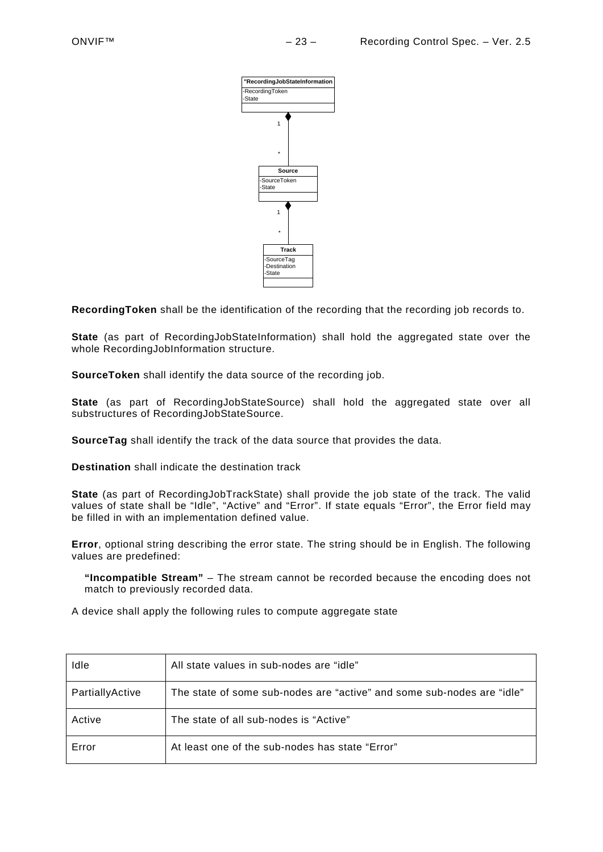

**RecordingToken** shall be the identification of the recording that the recording job records to.

**State** (as part of RecordingJobStateInformation) shall hold the aggregated state over the whole RecordingJobInformation structure.

**SourceToken** shall identify the data source of the recording job.

**State** (as part of RecordingJobStateSource) shall hold the aggregated state over all substructures of RecordingJobStateSource.

**SourceTag** shall identify the track of the data source that provides the data.

**Destination** shall indicate the destination track

**State** (as part of RecordingJobTrackState) shall provide the job state of the track. The valid values of state shall be "Idle", "Active" and "Error". If state equals "Error", the Error field may be filled in with an implementation defined value.

**Error**, optional string describing the error state. The string should be in English. The following values are predefined:

**"Incompatible Stream"** – The stream cannot be recorded because the encoding does not match to previously recorded data.

A device shall apply the following rules to compute aggregate state

| Idle            | All state values in sub-nodes are "idle"                               |
|-----------------|------------------------------------------------------------------------|
| PartiallyActive | The state of some sub-nodes are "active" and some sub-nodes are "idle" |
| Active          | The state of all sub-nodes is "Active"                                 |
| Error           | At least one of the sub-nodes has state "Error"                        |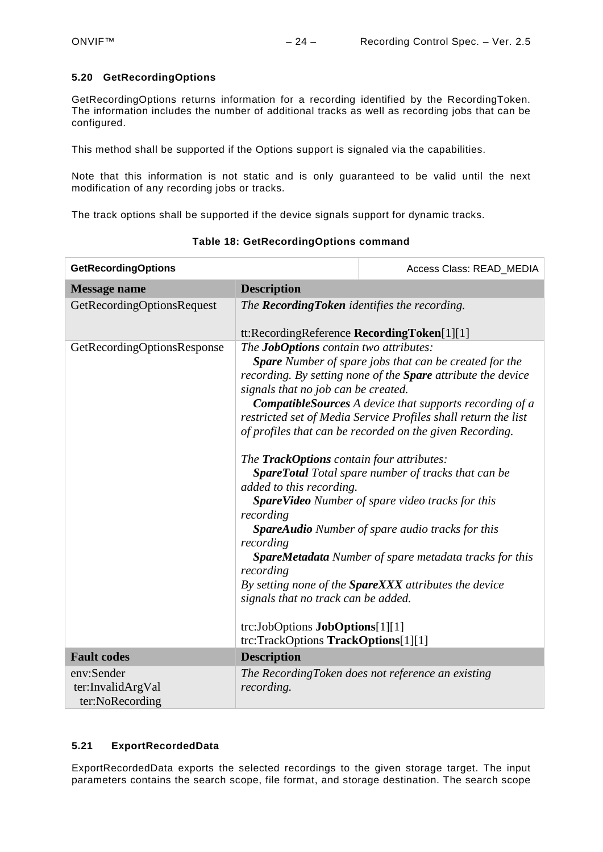#### <span id="page-23-0"></span>**5.20 GetRecordingOptions**

GetRecordingOptions returns information for a recording identified by the RecordingToken. The information includes the number of additional tracks as well as recording jobs that can be configured.

This method shall be supported if the Options support is signaled via the capabilities.

Note that this information is not static and is only guaranteed to be valid until the next modification of any recording jobs or tracks.

The track options shall be supported if the device signals support for dynamic tracks.

| <b>GetRecordingOptions</b>                         |                                                                                                                                                                                                                                                                                                                                                                                                                                                                                                                                                                                                                                                                                                                                                                                                                                                                                                                                                                                                      | Access Class: READ_MEDIA                          |
|----------------------------------------------------|------------------------------------------------------------------------------------------------------------------------------------------------------------------------------------------------------------------------------------------------------------------------------------------------------------------------------------------------------------------------------------------------------------------------------------------------------------------------------------------------------------------------------------------------------------------------------------------------------------------------------------------------------------------------------------------------------------------------------------------------------------------------------------------------------------------------------------------------------------------------------------------------------------------------------------------------------------------------------------------------------|---------------------------------------------------|
| <b>Message name</b>                                | <b>Description</b>                                                                                                                                                                                                                                                                                                                                                                                                                                                                                                                                                                                                                                                                                                                                                                                                                                                                                                                                                                                   |                                                   |
| GetRecordingOptionsRequest                         | The Recording Token identifies the recording.                                                                                                                                                                                                                                                                                                                                                                                                                                                                                                                                                                                                                                                                                                                                                                                                                                                                                                                                                        |                                                   |
|                                                    |                                                                                                                                                                                                                                                                                                                                                                                                                                                                                                                                                                                                                                                                                                                                                                                                                                                                                                                                                                                                      |                                                   |
| GetRecordingOptionsResponse                        | tt:RecordingReference RecordingToken[1][1]<br>The JobOptions contain two attributes:<br><b>Spare</b> Number of spare jobs that can be created for the<br>recording. By setting none of the Spare attribute the device<br>signals that no job can be created.<br><b>CompatibleSources</b> A device that supports recording of a<br>restricted set of Media Service Profiles shall return the list<br>of profiles that can be recorded on the given Recording.<br>The TrackOptions contain four attributes:<br><b>SpareTotal</b> Total spare number of tracks that can be<br>added to this recording.<br>SpareVideo Number of spare video tracks for this<br>recording<br><b>SpareAudio</b> Number of spare audio tracks for this<br>recording<br><b>SpareMetadata</b> Number of spare metadata tracks for this<br>recording<br>By setting none of the SpareXXX attributes the device<br>signals that no track can be added.<br>trc:JobOptions JobOptions[1][1]<br>trc:TrackOptions TrackOptions[1][1] |                                                   |
| <b>Fault codes</b>                                 | <b>Description</b>                                                                                                                                                                                                                                                                                                                                                                                                                                                                                                                                                                                                                                                                                                                                                                                                                                                                                                                                                                                   |                                                   |
| env:Sender<br>ter:InvalidArgVal<br>ter:NoRecording | recording.                                                                                                                                                                                                                                                                                                                                                                                                                                                                                                                                                                                                                                                                                                                                                                                                                                                                                                                                                                                           | The RecordingToken does not reference an existing |

**Table 18: GetRecordingOptions command**

# <span id="page-23-1"></span>**5.21 ExportRecordedData**

ExportRecordedData exports the selected recordings to the given storage target. The input parameters contains the search scope, file format, and storage destination. The search scope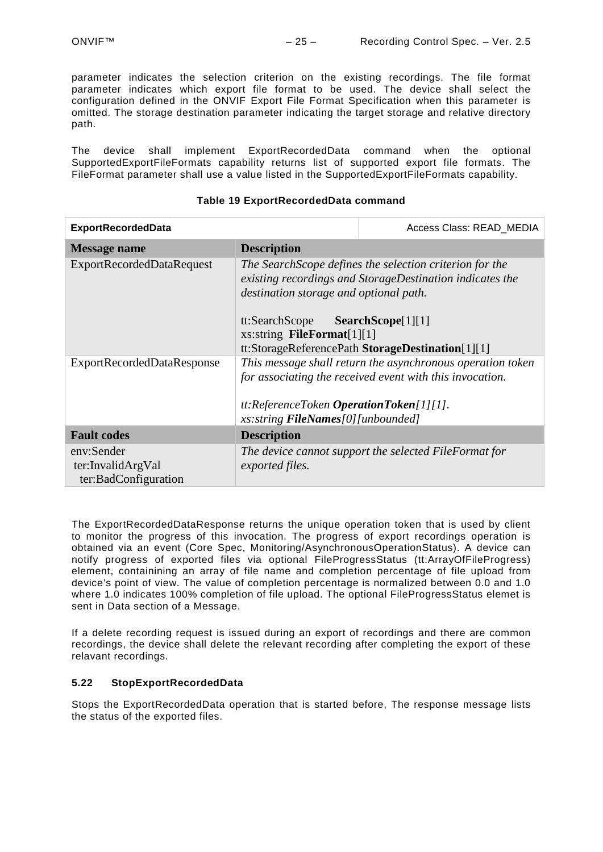parameter indicates the selection criterion on the existing recordings. The file format parameter indicates which export file format to be used. The device shall select the configuration defined in the ONVIF Export File Format Specification when this parameter is omitted. The storage destination parameter indicating the target storage and relative directory path.

The device shall implement ExportRecordedData command when the optional SupportedExportFileFormats capability returns list of supported export file formats. The FileFormat parameter shall use a value listed in the SupportedExportFileFormats capability.

#### **Table 19 ExportRecordedData command**

| <b>ExportRecordedData</b>                               |                                                                                                                                                                                                                                                                                         | Access Class: READ_MEDIA |
|---------------------------------------------------------|-----------------------------------------------------------------------------------------------------------------------------------------------------------------------------------------------------------------------------------------------------------------------------------------|--------------------------|
| Message name                                            | <b>Description</b>                                                                                                                                                                                                                                                                      |                          |
| <b>ExportRecordedDataRequest</b>                        | The SearchScope defines the selection criterion for the<br>existing recordings and StorageDestination indicates the<br>destination storage and optional path.<br>tt:SearchScope SearchScope[1][1]<br>xs: string FileFormat $[1][1]$<br>tt:StorageReferencePath StorageDestination[1][1] |                          |
| <b>ExportRecordedDataResponse</b>                       | This message shall return the asynchronous operation token<br>for associating the received event with this invocation.<br>$tt:ReferenceToken\; OperationToken[1][1].$<br>xs: string FileNames[0][unbounded]                                                                             |                          |
| <b>Fault codes</b>                                      | <b>Description</b>                                                                                                                                                                                                                                                                      |                          |
| env:Sender<br>ter:InvalidArgVal<br>ter:BadConfiguration | The device cannot support the selected FileFormat for<br>exported files.                                                                                                                                                                                                                |                          |

The ExportRecordedDataResponse returns the unique operation token that is used by client to monitor the progress of this invocation. The progress of export recordings operation is obtained via an event (Core Spec, Monitoring/AsynchronousOperationStatus). A device can notify progress of exported files via optional FileProgressStatus (tt:ArrayOfFileProgress) element, containining an array of file name and completion percentage of file upload from device's point of view. The value of completion percentage is normalized between 0.0 and 1.0 where 1.0 indicates 100% completion of file upload. The optional FileProgressStatus elemet is sent in Data section of a Message.

If a delete recording request is issued during an export of recordings and there are common recordings, the device shall delete the relevant recording after completing the export of these relavant recordings.

#### <span id="page-24-0"></span>**5.22 StopExportRecordedData**

Stops the ExportRecordedData operation that is started before, The response message lists the status of the exported files.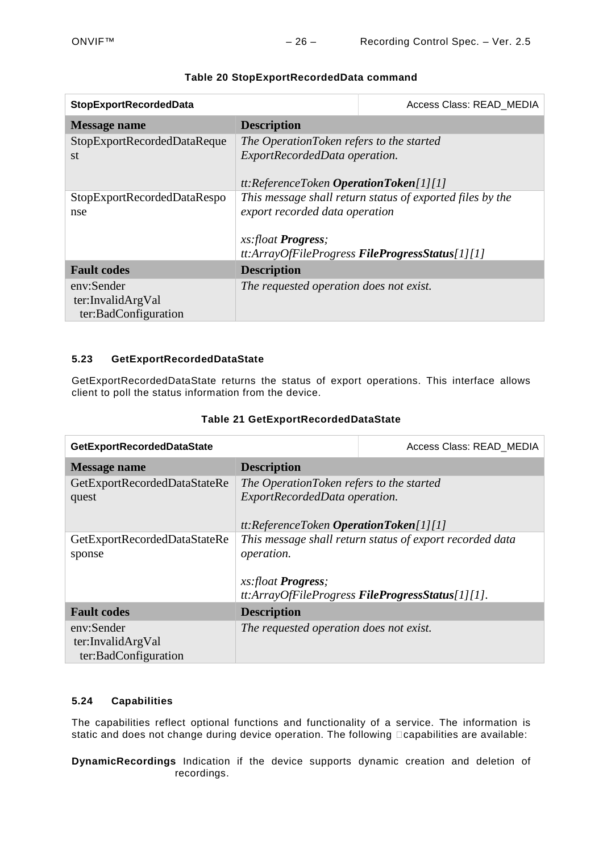| <b>StopExportRecordedData</b>                           |                                                                                                                                                                              | Access Class: READ MEDIA |
|---------------------------------------------------------|------------------------------------------------------------------------------------------------------------------------------------------------------------------------------|--------------------------|
| <b>Message name</b>                                     | <b>Description</b>                                                                                                                                                           |                          |
| StopExportRecordedDataReque<br>st                       | The OperationToken refers to the started<br>ExportRecordedData operation.<br>$tt:ReferenceToken\; OperationToken[1][1]$                                                      |                          |
| StopExportRecordedDataRespo<br>nse                      | This message shall return status of exported files by the<br>export recorded data operation<br>xs:float <b>Progress</b> ;<br>tt:ArrayOfFileProgress FileProgressStatus[1][1] |                          |
| <b>Fault codes</b>                                      | <b>Description</b>                                                                                                                                                           |                          |
| env:Sender<br>ter:InvalidArgVal<br>ter:BadConfiguration | The requested operation does not exist.                                                                                                                                      |                          |

# **Table 20 StopExportRecordedData command**

#### <span id="page-25-0"></span>**5.23 GetExportRecordedDataState**

GetExportRecordedDataState returns the status of export operations. This interface allows client to poll the status information from the device.

|  | Table 21 GetExportRecordedDataState |
|--|-------------------------------------|
|--|-------------------------------------|

| GetExportRecordedDataState   |                                                          | Access Class: READ_MEDIA |
|------------------------------|----------------------------------------------------------|--------------------------|
| <b>Message name</b>          | <b>Description</b>                                       |                          |
| GetExportRecordedDataStateRe | The OperationToken refers to the started                 |                          |
| quest                        | ExportRecordedData operation.                            |                          |
|                              | $tt:ReferenceToken\; OperationToken[1][1]$               |                          |
| GetExportRecordedDataStateRe | This message shall return status of export recorded data |                          |
| sponse                       | operation.                                               |                          |
|                              |                                                          |                          |
|                              | xs:float <b>Progress</b> ;                               |                          |
|                              | tt:ArrayOfFileProgress FileProgressStatus[1][1].         |                          |
| <b>Fault codes</b>           | <b>Description</b>                                       |                          |
| env:Sender                   | The requested operation does not exist.                  |                          |
| ter:InvalidArgVal            |                                                          |                          |
| ter:BadConfiguration         |                                                          |                          |

## <span id="page-25-1"></span>**5.24 Capabilities**

The capabilities reflect optional functions and functionality of a service. The information is static and does not change during device operation. The following **capabilities are available:** 

**DynamicRecordings** Indication if the device supports dynamic creation and deletion of recordings.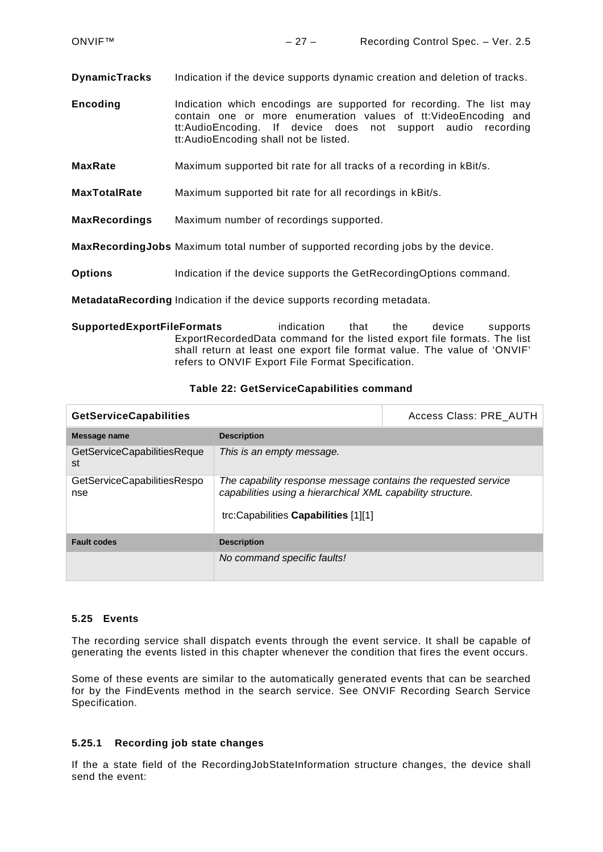**DynamicTracks** Indication if the device supports dynamic creation and deletion of tracks.

**Encoding** Indication which encodings are supported for recording. The list may contain one or more enumeration values of tt:VideoEncoding and tt:AudioEncoding. If device does not support audio recording tt:AudioEncoding shall not be listed.

**MaxRate** Maximum supported bit rate for all tracks of a recording in kBit/s.

**MaxTotalRate** Maximum supported bit rate for all recordings in kBit/s.

**MaxRecordings** Maximum number of recordings supported.

**MaxRecordingJobs** Maximum total number of supported recording jobs by the device.

**Options** Indication if the device supports the GetRecordingOptions command.

**MetadataRecording** Indication if the device supports recording metadata.

**SupportedExportFileFormats** indication that the device supports ExportRecordedData command for the listed export file formats. The list shall return at least one export file format value. The value of 'ONVIF' refers to ONVIF Export File Format Specification.

#### **Table 22: GetServiceCapabilities command**

| <b>GetServiceCapabilities</b>      |                                                                                                                                                                       | Access Class: PRE AUTH |
|------------------------------------|-----------------------------------------------------------------------------------------------------------------------------------------------------------------------|------------------------|
| Message name                       | <b>Description</b>                                                                                                                                                    |                        |
| GetServiceCapabilitiesReque<br>st  | This is an empty message.                                                                                                                                             |                        |
| GetServiceCapabilitiesRespo<br>nse | The capability response message contains the requested service<br>capabilities using a hierarchical XML capability structure.<br>trc:Capabilities Capabilities [1][1] |                        |
| <b>Fault codes</b>                 | <b>Description</b>                                                                                                                                                    |                        |
|                                    | No command specific faults!                                                                                                                                           |                        |

#### <span id="page-26-0"></span>**5.25 Events**

The recording service shall dispatch events through the event service. It shall be capable of generating the events listed in this chapter whenever the condition that fires the event occurs.

Some of these events are similar to the automatically generated events that can be searched for by the FindEvents method in the search service. See ONVIF Recording Search Service Specification.

#### <span id="page-26-1"></span>**5.25.1 Recording job state changes**

If the a state field of the RecordingJobStateInformation structure changes, the device shall send the event: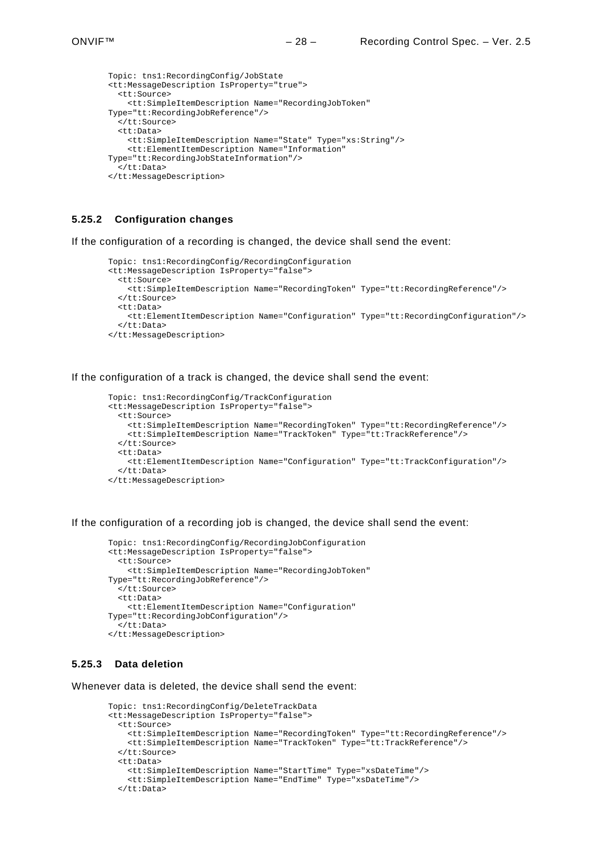```
Topic: tns1:RecordingConfig/JobState
<tt:MessageDescription IsProperty="true"> 
   <tt:Source> 
     <tt:SimpleItemDescription Name="RecordingJobToken"
Type="tt:RecordingJobReference"/> 
  -<br></tt:Source>
   <tt:Data> 
     <tt:SimpleItemDescription Name="State" Type="xs:String"/> 
     <tt:ElementItemDescription Name="Information"
Type="tt:RecordingJobStateInformation"/> 
   </tt:Data> 
</tt:MessageDescription>
```
#### <span id="page-27-0"></span>**5.25.2 Configuration changes**

If the configuration of a recording is changed, the device shall send the event:

```
Topic: tns1:RecordingConfig/RecordingConfiguration
<tt:MessageDescription IsProperty="false"> 
  <tt:Source> 
     <tt:SimpleItemDescription Name="RecordingToken" Type="tt:RecordingReference"/> 
   </tt:Source> 
   <tt:Data> 
    <tt:ElementItemDescription Name="Configuration" Type="tt:RecordingConfiguration"/> 
   </tt:Data> 
</tt:MessageDescription>
```
If the configuration of a track is changed, the device shall send the event:

```
Topic: tns1:RecordingConfig/TrackConfiguration
<tt:MessageDescription IsProperty="false"> 
  <tt:Source> 
     <tt:SimpleItemDescription Name="RecordingToken" Type="tt:RecordingReference"/> 
     <tt:SimpleItemDescription Name="TrackToken" Type="tt:TrackReference"/> 
   </tt:Source> 
   <tt:Data> 
     <tt:ElementItemDescription Name="Configuration" Type="tt:TrackConfiguration"/> 
   </tt:Data> 
</tt:MessageDescription>
```
If the configuration of a recording job is changed, the device shall send the event:

```
Topic: tns1:RecordingConfig/RecordingJobConfiguration
<tt:MessageDescription IsProperty="false"> 
   <tt:Source> 
     <tt:SimpleItemDescription Name="RecordingJobToken"
Type="tt:RecordingJobReference"/> 
   </tt:Source> 
   <tt:Data> 
     <tt:ElementItemDescription Name="Configuration"
Type="tt:RecordingJobConfiguration"/> 
   </tt:Data> 
</tt:MessageDescription>
```
#### <span id="page-27-1"></span>**5.25.3 Data deletion**

Whenever data is deleted, the device shall send the event:

```
Topic: tns1:RecordingConfig/DeleteTrackData
<tt:MessageDescription IsProperty="false"> 
   <tt:Source> 
     <tt:SimpleItemDescription Name="RecordingToken" Type="tt:RecordingReference"/> 
     <tt:SimpleItemDescription Name="TrackToken" Type="tt:TrackReference"/> 
   </tt:Source> 
   <tt:Data> 
     <tt:SimpleItemDescription Name="StartTime" Type="xsDateTime"/> 
     <tt:SimpleItemDescription Name="EndTime" Type="xsDateTime"/> 
   </tt:Data>
```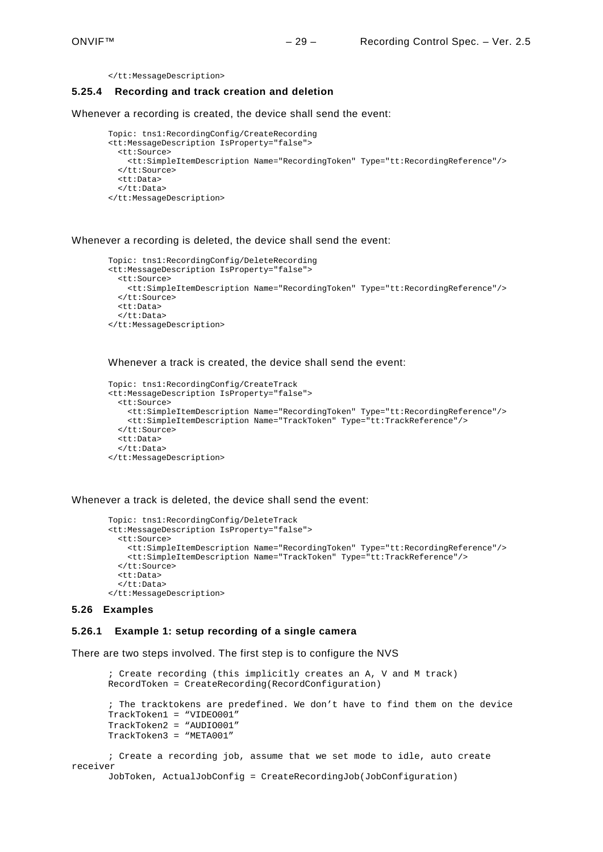# <span id="page-28-0"></span>**5.25.4 Recording and track creation and deletion**

Whenever a recording is created, the device shall send the event:

```
Topic: tns1:RecordingConfig/CreateRecording
<tt:MessageDescription IsProperty="false"> 
   <tt:Source> 
     <tt:SimpleItemDescription Name="RecordingToken" Type="tt:RecordingReference"/> 
   </tt:Source> 
   <tt:Data> 
   </tt:Data> 
</tt:MessageDescription>
```
Whenever a recording is deleted, the device shall send the event:

```
Topic: tns1:RecordingConfig/DeleteRecording
<tt:MessageDescription IsProperty="false"> 
   <tt:Source> 
     <tt:SimpleItemDescription Name="RecordingToken" Type="tt:RecordingReference"/> 
   </tt:Source> 
   <tt:Data> 
   </tt:Data> 
</tt:MessageDescription>
```
Whenever a track is created, the device shall send the event:

```
Topic: tns1:RecordingConfig/CreateTrack
<tt:MessageDescription IsProperty="false"> 
   <tt:Source> 
     <tt:SimpleItemDescription Name="RecordingToken" Type="tt:RecordingReference"/> 
     <tt:SimpleItemDescription Name="TrackToken" Type="tt:TrackReference"/> 
  \epsilon/tt:Sources
   <tt:Data> 
   </tt:Data> 
</tt:MessageDescription>
```
Whenever a track is deleted, the device shall send the event:

```
Topic: tns1:RecordingConfig/DeleteTrack
<tt:MessageDescription IsProperty="false"> 
   <tt:Source> 
     <tt:SimpleItemDescription Name="RecordingToken" Type="tt:RecordingReference"/> 
     <tt:SimpleItemDescription Name="TrackToken" Type="tt:TrackReference"/> 
   </tt:Source> 
   <tt:Data> 
   </tt:Data> 
</tt:MessageDescription>
```
#### <span id="page-28-1"></span>**5.26 Examples**

## <span id="page-28-2"></span>**5.26.1 Example 1: setup recording of a single camera**

There are two steps involved. The first step is to configure the NVS

```
; Create recording (this implicitly creates an A, V and M track)
      RecordToken = CreateRecording(RecordConfiguration)
       ; The tracktokens are predefined. We don't have to find them on the device
      TrackToken1 = "VIDEO001"
      TrackToken2 = "AUDIO001"
      TrackToken3 = "META001"
      ; Create a recording job, assume that we set mode to idle, auto create 
receiver
      JobToken, ActualJobConfig = CreateRecordingJob(JobConfiguration)
```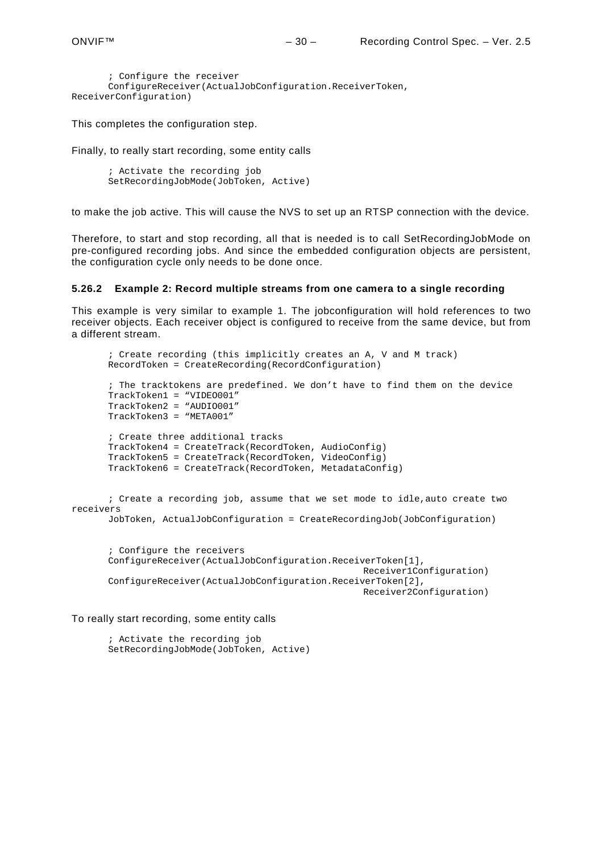```
; Configure the receiver
       ConfigureReceiver(ActualJobConfiguration.ReceiverToken, 
ReceiverConfiguration)
```
This completes the configuration step.

Finally, to really start recording, some entity calls

; Activate the recording job SetRecordingJobMode(JobToken, Active)

to make the job active. This will cause the NVS to set up an RTSP connection with the device.

Therefore, to start and stop recording, all that is needed is to call SetRecordingJobMode on pre-configured recording jobs. And since the embedded configuration objects are persistent, the configuration cycle only needs to be done once.

#### <span id="page-29-0"></span>**5.26.2 Example 2: Record multiple streams from one camera to a single recording**

This example is very similar to example 1. The jobconfiguration will hold references to two receiver objects. Each receiver object is configured to receive from the same device, but from a different stream.

```
; Create recording (this implicitly creates an A, V and M track)
      RecordToken = CreateRecording(RecordConfiguration)
       ; The tracktokens are predefined. We don't have to find them on the device
      TrackToken1 = "VIDEO001"
      TrackToken2 = "AUDIO001"
      TrackToken3 = "META001"
       ; Create three additional tracks
      TrackToken4 = CreateTrack(RecordToken, AudioConfig)
      TrackToken5 = CreateTrack(RecordToken, VideoConfig)
      TrackToken6 = CreateTrack(RecordToken, MetadataConfig)
       ; Create a recording job, assume that we set mode to idle,auto create two 
receivers
      JobToken, ActualJobConfiguration = CreateRecordingJob(JobConfiguration)
       ; Configure the receivers
      ConfigureReceiver(ActualJobConfiguration.ReceiverToken[1],
                                                     Receiver1Configuration)
      ConfigureReceiver(ActualJobConfiguration.ReceiverToken[2],
                                                     Receiver2Configuration)
```
To really start recording, some entity calls

; Activate the recording job SetRecordingJobMode(JobToken, Active)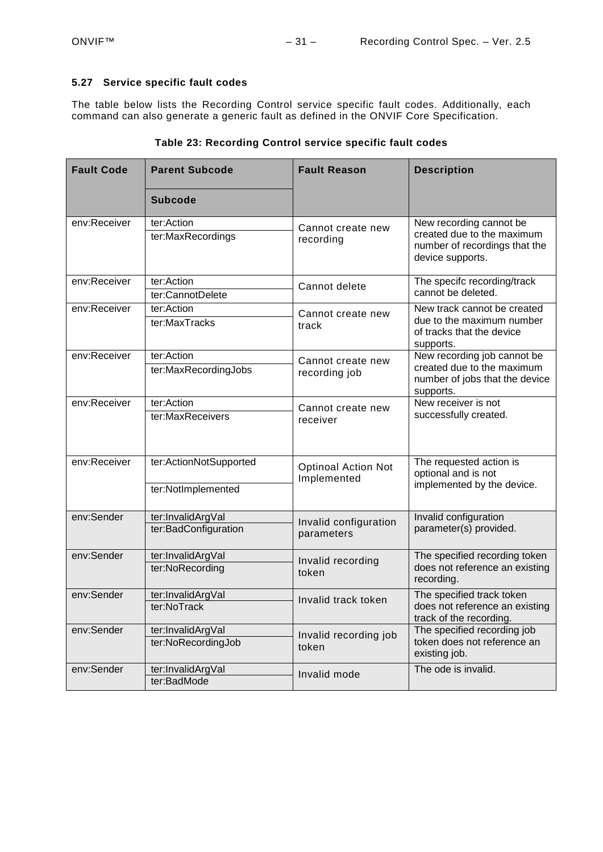#### <span id="page-30-0"></span>**5.27 Service specific fault codes**

The table below lists the Recording Control service specific fault codes. Additionally, each command can also generate a generic fault as defined in the ONVIF Core Specification.

| <b>Fault Code</b> | <b>Parent Subcode</b>  | <b>Fault Reason</b>                       | <b>Description</b>                                                              |
|-------------------|------------------------|-------------------------------------------|---------------------------------------------------------------------------------|
|                   | <b>Subcode</b>         |                                           |                                                                                 |
| env:Receiver      | ter:Action             | Cannot create new                         | New recording cannot be                                                         |
|                   | ter:MaxRecordings      | recording                                 | created due to the maximum<br>number of recordings that the<br>device supports. |
| env:Receiver      | ter:Action             | Cannot delete                             | The specifc recording/track                                                     |
|                   | ter:CannotDelete       |                                           | cannot be deleted.                                                              |
| env:Receiver      | ter:Action             | Cannot create new                         | New track cannot be created                                                     |
|                   | ter:MaxTracks          | track                                     | due to the maximum number<br>of tracks that the device<br>supports.             |
| env:Receiver      | ter:Action             | Cannot create new                         | New recording job cannot be                                                     |
|                   | ter:MaxRecordingJobs   | recording job                             | created due to the maximum<br>number of jobs that the device<br>supports.       |
| env:Receiver      | ter:Action             | Cannot create new                         | New receiver is not                                                             |
|                   | ter:MaxReceivers       | receiver                                  | successfully created.                                                           |
| env:Receiver      | ter:ActionNotSupported | <b>Optinoal Action Not</b><br>Implemented | The requested action is<br>optional and is not                                  |
|                   | ter:NotImplemented     |                                           | implemented by the device.                                                      |
| env:Sender        | ter:InvalidArgVal      | Invalid configuration                     | Invalid configuration                                                           |
|                   | ter:BadConfiguration   | parameters                                | parameter(s) provided.                                                          |
| env:Sender        | ter:InvalidArgVal      | Invalid recording                         | The specified recording token                                                   |
|                   | ter:NoRecording        | token                                     | does not reference an existing<br>recording.                                    |
| env:Sender        | ter:InvalidArgVal      | Invalid track token                       | The specified track token                                                       |
|                   | ter:NoTrack            |                                           | does not reference an existing<br>track of the recording.                       |
| env:Sender        | ter:InvalidArgVal      | Invalid recording job                     | The specified recording job                                                     |
|                   | ter:NoRecordingJob     | token                                     | token does not reference an<br>existing job.                                    |
| env:Sender        | ter:InvalidArgVal      | Invalid mode                              | The ode is invalid.                                                             |
|                   | ter:BadMode            |                                           |                                                                                 |

|  | Table 23: Recording Control service specific fault codes |
|--|----------------------------------------------------------|
|--|----------------------------------------------------------|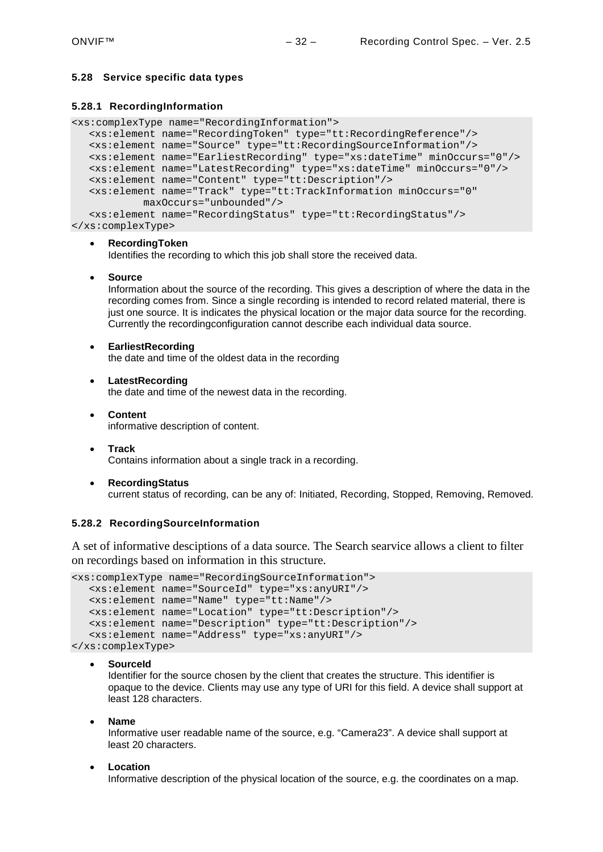## <span id="page-31-0"></span>**5.28 Service specific data types**

#### <span id="page-31-1"></span>**5.28.1 RecordingInformation**

<xs:complexType name="RecordingInformation">

```
<xs:element name="RecordingToken" type="tt:RecordingReference"/>
<xs:element name="Source" type="tt:RecordingSourceInformation"/>
<xs:element name="EarliestRecording" type="xs:dateTime" minOccurs="0"/>
<xs:element name="LatestRecording" type="xs:dateTime" minOccurs="0"/>
<xs:element name="Content" type="tt:Description"/>
<xs:element name="Track" type="tt:TrackInformation minOccurs="0"
        maxOccurs="unbounded"/>
<xs:element name="RecordingStatus" type="tt:RecordingStatus"/>
```
</xs:complexType>

#### • **RecordingToken**

Identifies the recording to which this job shall store the received data.

• **Source**

Information about the source of the recording. This gives a description of where the data in the recording comes from. Since a single recording is intended to record related material, there is just one source. It is indicates the physical location or the major data source for the recording. Currently the recordingconfiguration cannot describe each individual data source.

• **EarliestRecording**

the date and time of the oldest data in the recording

- **LatestRecording** the date and time of the newest data in the recording.
- **Content** informative description of content.
- **Track** Contains information about a single track in a recording.
- **RecordingStatus** current status of recording, can be any of: Initiated, Recording, Stopped, Removing, Removed.

#### <span id="page-31-2"></span>**5.28.2 RecordingSourceInformation**

A set of informative desciptions of a data source. The Search searvice allows a client to filter on recordings based on information in this structure.

```
<xs:complexType name="RecordingSourceInformation">
  <xs:element name="SourceId" type="xs:anyURI"/>
  <xs:element name="Name" type="tt:Name"/>
  <xs:element name="Location" type="tt:Description"/>
  <xs:element name="Description" type="tt:Description"/>
  <xs:element name="Address" type="xs:anyURI"/>
```
</xs:complexType>

#### • **SourceId**

Identifier for the source chosen by the client that creates the structure. This identifier is opaque to the device. Clients may use any type of URI for this field. A device shall support at least 128 characters.

• **Name**

Informative user readable name of the source, e.g. "Camera23". A device shall support at least 20 characters.

#### • **Location**

Informative description of the physical location of the source, e.g. the coordinates on a map.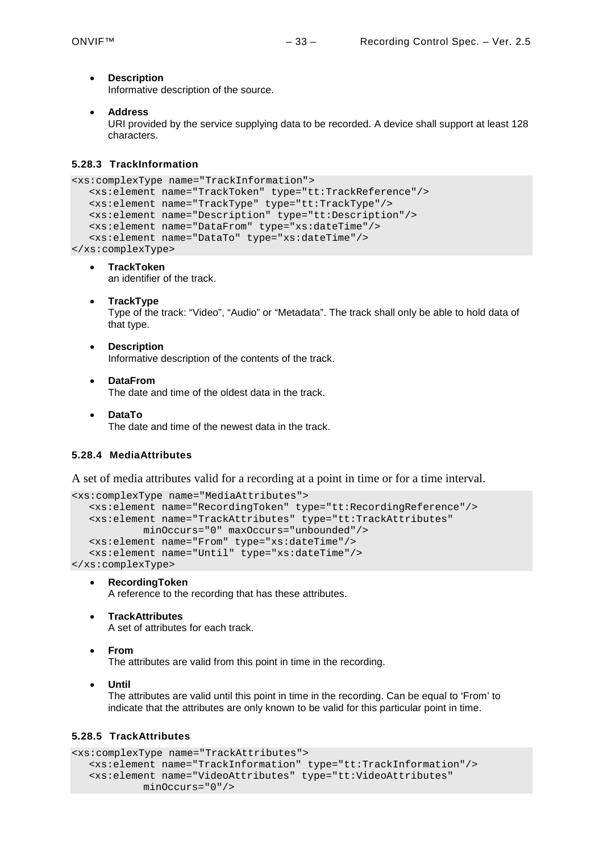• **Description**

Informative description of the source.

• **Address**

URI provided by the service supplying data to be recorded. A device shall support at least 128 characters.

#### <span id="page-32-0"></span>**5.28.3 TrackInformation**

```
<xs:complexType name="TrackInformation">
  <xs:element name="TrackToken" type="tt:TrackReference"/>
  <xs:element name="TrackType" type="tt:TrackType"/>
  <xs:element name="Description" type="tt:Description"/>
  <xs:element name="DataFrom" type="xs:dateTime"/>
  <xs:element name="DataTo" type="xs:dateTime"/>
</xs:complexType>
```
- **TrackToken** an identifier of the track.
- **TrackType** Type of the track: "Video", "Audio" or "Metadata". The track shall only be able to hold data of that type.
- **Description** Informative description of the contents of the track.
- **DataFrom**

The date and time of the oldest data in the track.

• **DataTo** The date and time of the newest data in the track.

# <span id="page-32-1"></span>**5.28.4 MediaAttributes**

A set of media attributes valid for a recording at a point in time or for a time interval.

```
<xs:complexType name="MediaAttributes">
  <xs:element name="RecordingToken" type="tt:RecordingReference"/>
```

```
<xs:element name="TrackAttributes" type="tt:TrackAttributes"
           minOccurs="0" maxOccurs="unbounded"/>
  <xs:element name="From" type="xs:dateTime"/>
  <xs:element name="Until" type="xs:dateTime"/>
</xs:complexType>
```
• **RecordingToken**

A reference to the recording that has these attributes.

• **TrackAttributes**

A set of attributes for each track.

• **From**

The attributes are valid from this point in time in the recording.

• **Until**

The attributes are valid until this point in time in the recording. Can be equal to 'From' to indicate that the attributes are only known to be valid for this particular point in time.

# <span id="page-32-2"></span>**5.28.5 TrackAttributes**

```
<xs:complexType name="TrackAttributes">
  <xs:element name="TrackInformation" type="tt:TrackInformation"/>
  <xs:element name="VideoAttributes" type="tt:VideoAttributes"
           minOccurs="0"/>
```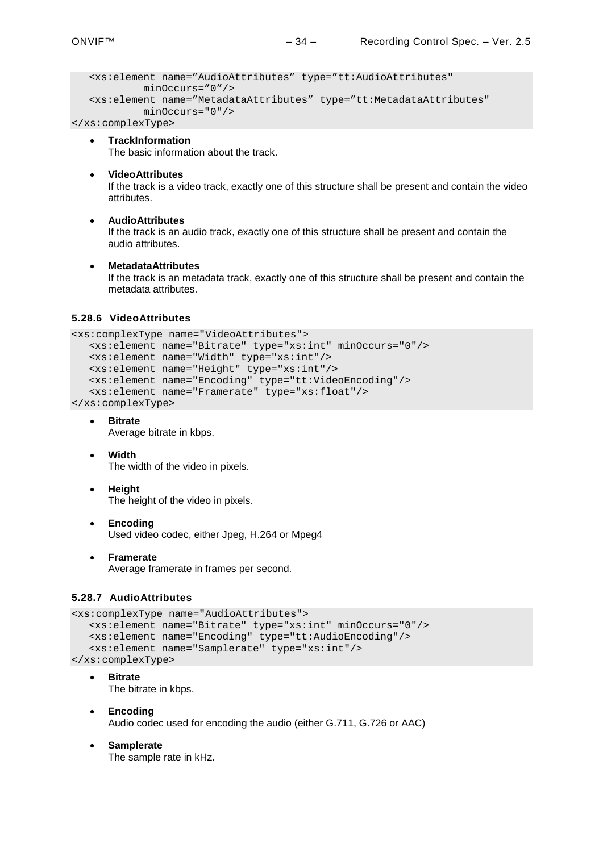```
<xs:element name="AudioAttributes" type="tt:AudioAttributes"
        minOccurs="0"/>
<xs:element name="MetadataAttributes" type="tt:MetadataAttributes"
        minOccurs="0"/>
```
</xs:complexType>

- **TrackInformation** The basic information about the track.
- **VideoAttributes**

If the track is a video track, exactly one of this structure shall be present and contain the video attributes.

#### • **AudioAttributes**

If the track is an audio track, exactly one of this structure shall be present and contain the audio attributes.

#### • **MetadataAttributes**

If the track is an metadata track, exactly one of this structure shall be present and contain the metadata attributes.

#### <span id="page-33-0"></span>**5.28.6 VideoAttributes**

```
<xs:complexType name="VideoAttributes">
   <xs:element name="Bitrate" type="xs:int" minOccurs="0"/>
   <xs:element name="Width" type="xs:int"/>
  <xs:element name="Height" type="xs:int"/>
  <xs:element name="Encoding" type="tt:VideoEncoding"/>
   <xs:element name="Framerate" type="xs:float"/>
</xs:complexType>
```

```
• Bitrate
```
Average bitrate in kbps.

- **Width** The width of the video in pixels.
- **Height**

The height of the video in pixels.

- **Encoding** Used video codec, either Jpeg, H.264 or Mpeg4
- **Framerate** Average framerate in frames per second.

#### <span id="page-33-1"></span>**5.28.7 AudioAttributes**

```
<xs:complexType name="AudioAttributes">
  <xs:element name="Bitrate" type="xs:int" minOccurs="0"/>
  <xs:element name="Encoding" type="tt:AudioEncoding"/>
  <xs:element name="Samplerate" type="xs:int"/>
</xs:complexType>
```
- **Bitrate** The bitrate in kbps.
- **Encoding** Audio codec used for encoding the audio (either G.711, G.726 or AAC)
- **Samplerate** The sample rate in kHz.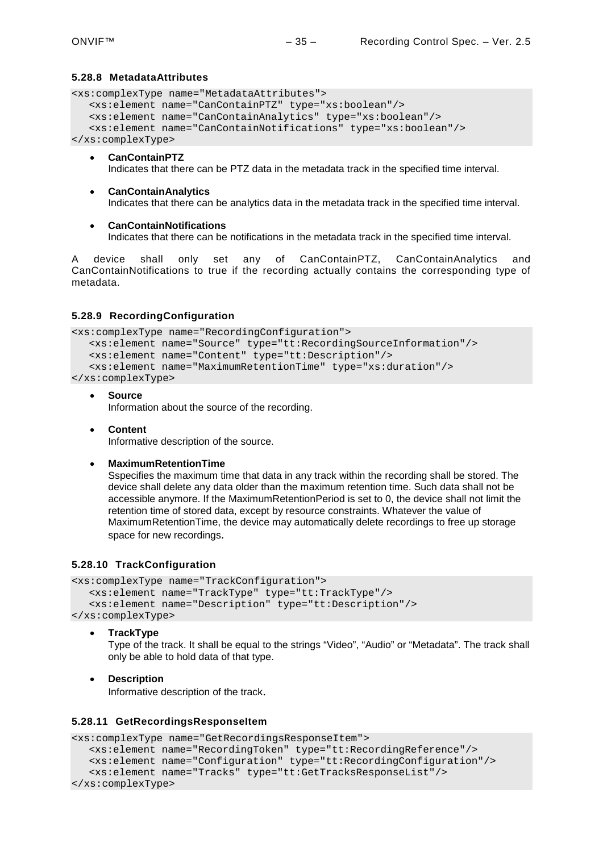#### <span id="page-34-0"></span>**5.28.8 MetadataAttributes**

```
<xs:complexType name="MetadataAttributes">
  <xs:element name="CanContainPTZ" type="xs:boolean"/>
  <xs:element name="CanContainAnalytics" type="xs:boolean"/>
  <xs:element name="CanContainNotifications" type="xs:boolean"/>
</xs:complexType>
```
- **CanContainPTZ** Indicates that there can be PTZ data in the metadata track in the specified time interval.
- **CanContainAnalytics** Indicates that there can be analytics data in the metadata track in the specified time interval.
- **CanContainNotifications** Indicates that there can be notifications in the metadata track in the specified time interval.

A device shall only set any of CanContainPTZ, CanContainAnalytics and CanContainNotifications to true if the recording actually contains the corresponding type of metadata.

#### <span id="page-34-1"></span>**5.28.9 RecordingConfiguration**

```
<xs:complexType name="RecordingConfiguration">
  <xs:element name="Source" type="tt:RecordingSourceInformation"/>
  <xs:element name="Content" type="tt:Description"/>
  <xs:element name="MaximumRetentionTime" type="xs:duration"/>
</xs:complexType>
```
• **Source**

Information about the source of the recording.

• **Content** Informative description of the source.

#### • **MaximumRetentionTime**

Sspecifies the maximum time that data in any track within the recording shall be stored. The device shall delete any data older than the maximum retention time. Such data shall not be accessible anymore. If the MaximumRetentionPeriod is set to 0, the device shall not limit the retention time of stored data, except by resource constraints. Whatever the value of MaximumRetentionTime, the device may automatically delete recordings to free up storage space for new recordings.

#### <span id="page-34-2"></span>**5.28.10 TrackConfiguration**

```
<xs:complexType name="TrackConfiguration">
  <xs:element name="TrackType" type="tt:TrackType"/>
  <xs:element name="Description" type="tt:Description"/>
```
- </xs:complexType>
	- **TrackType**

Type of the track. It shall be equal to the strings "Video", "Audio" or "Metadata". The track shall only be able to hold data of that type.

#### • **Description**

Informative description of the track.

#### <span id="page-34-3"></span>**5.28.11 GetRecordingsResponseItem**

```
<xs:complexType name="GetRecordingsResponseItem">
  <xs:element name="RecordingToken" type="tt:RecordingReference"/>
  <xs:element name="Configuration" type="tt:RecordingConfiguration"/>
  <xs:element name="Tracks" type="tt:GetTracksResponseList"/>
</xs:complexType>
```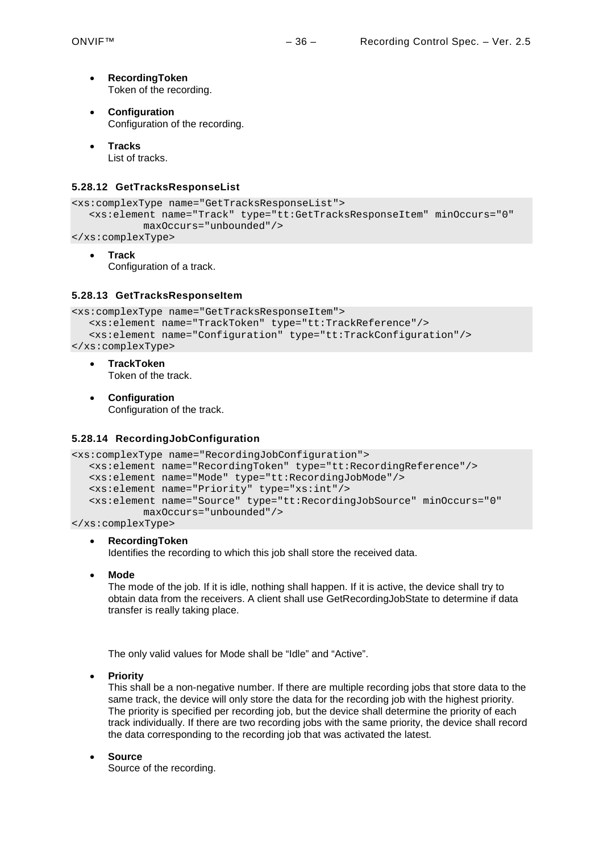- **RecordingToken** Token of the recording.
- **Configuration** Configuration of the recording.
- **Tracks** List of tracks.

# <span id="page-35-0"></span>**5.28.12 GetTracksResponseList**

```
<xs:complexType name="GetTracksResponseList">
  <xs:element name="Track" type="tt:GetTracksResponseItem" minOccurs="0"
           maxOccurs="unbounded"/>
```
</xs:complexType>

• **Track** Configuration of a track.

#### <span id="page-35-1"></span>**5.28.13 GetTracksResponseItem**

```
<xs:complexType name="GetTracksResponseItem">
  <xs:element name="TrackToken" type="tt:TrackReference"/>
   <xs:element name="Configuration" type="tt:TrackConfiguration"/>
</xs:complexType>
```
- **TrackToken** Token of the track.
- **Configuration** Configuration of the track.

#### <span id="page-35-2"></span>**5.28.14 RecordingJobConfiguration**

```
<xs:complexType name="RecordingJobConfiguration">
  <xs:element name="RecordingToken" type="tt:RecordingReference"/>
  <xs:element name="Mode" type="tt:RecordingJobMode"/>
  <xs:element name="Priority" type="xs:int"/>
  <xs:element name="Source" type="tt:RecordingJobSource" minOccurs="0"
           maxOccurs="unbounded"/>
```
</xs:complexType>

#### • **RecordingToken**

Identifies the recording to which this job shall store the received data.

• **Mode**

The mode of the job. If it is idle, nothing shall happen. If it is active, the device shall try to obtain data from the receivers. A client shall use GetRecordingJobState to determine if data transfer is really taking place.

The only valid values for Mode shall be "Idle" and "Active".

• **Priority**

This shall be a non-negative number. If there are multiple recording jobs that store data to the same track, the device will only store the data for the recording job with the highest priority. The priority is specified per recording job, but the device shall determine the priority of each track individually. If there are two recording jobs with the same priority, the device shall record the data corresponding to the recording job that was activated the latest.

• **Source**

Source of the recording.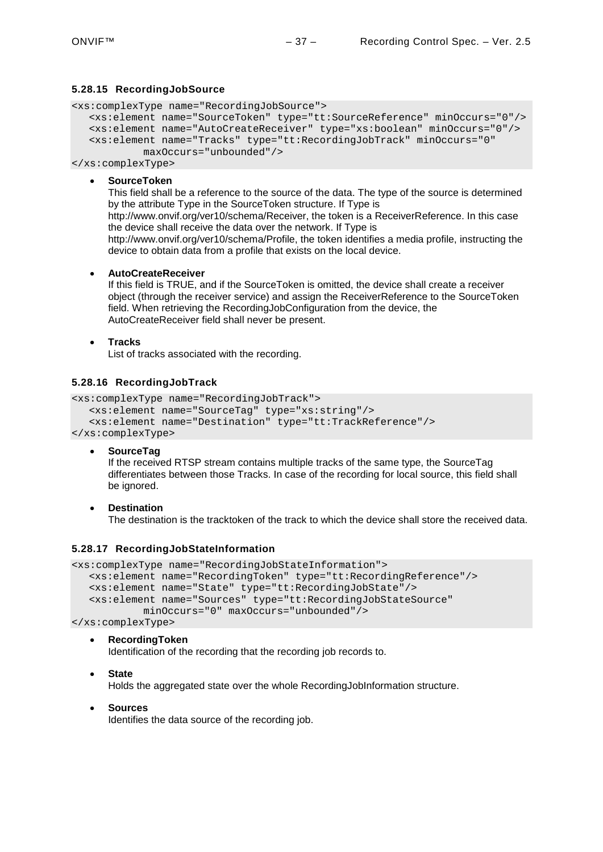#### <span id="page-36-0"></span>**5.28.15 RecordingJobSource**

<xs:complexType name="RecordingJobSource">

```
<xs:element name="SourceToken" type="tt:SourceReference" minOccurs="0"/>
<xs:element name="AutoCreateReceiver" type="xs:boolean" minOccurs="0"/>
<xs:element name="Tracks" type="tt:RecordingJobTrack" minOccurs="0"
         maxOccurs="unbounded"/>
```
</xs:complexType>

• **SourceToken**

This field shall be a reference to the source of the data. The type of the source is determined by the attribute Type in the SourceToken structure. If Type is

http://www.onvif.org/ver10/schema/Receiver, the token is a ReceiverReference. In this case the device shall receive the data over the network. If Type is

http://www.onvif.org/ver10/schema/Profile, the token identifies a media profile, instructing the device to obtain data from a profile that exists on the local device.

#### • **AutoCreateReceiver**

If this field is TRUE, and if the SourceToken is omitted, the device shall create a receiver object (through the receiver service) and assign the ReceiverReference to the SourceToken field. When retrieving the RecordingJobConfiguration from the device, the AutoCreateReceiver field shall never be present.

#### • **Tracks**

List of tracks associated with the recording.

#### <span id="page-36-1"></span>**5.28.16 RecordingJobTrack**

```
<xs:complexType name="RecordingJobTrack">
  <xs:element name="SourceTag" type="xs:string"/>
  <xs:element name="Destination" type="tt:TrackReference"/>
</xs:complexType>
```
#### • **SourceTag**

If the received RTSP stream contains multiple tracks of the same type, the SourceTag differentiates between those Tracks. In case of the recording for local source, this field shall be ignored.

• **Destination**

The destination is the tracktoken of the track to which the device shall store the received data.

#### <span id="page-36-2"></span>**5.28.17 RecordingJobStateInformation**

```
<xs:complexType name="RecordingJobStateInformation">
  <xs:element name="RecordingToken" type="tt:RecordingReference"/>
  <xs:element name="State" type="tt:RecordingJobState"/>
  <xs:element name="Sources" type="tt:RecordingJobStateSource"
           minOccurs="0" maxOccurs="unbounded"/>
```
</xs:complexType>

#### • **RecordingToken**

Identification of the recording that the recording job records to.

• **State**

Holds the aggregated state over the whole RecordingJobInformation structure.

• **Sources**

Identifies the data source of the recording job.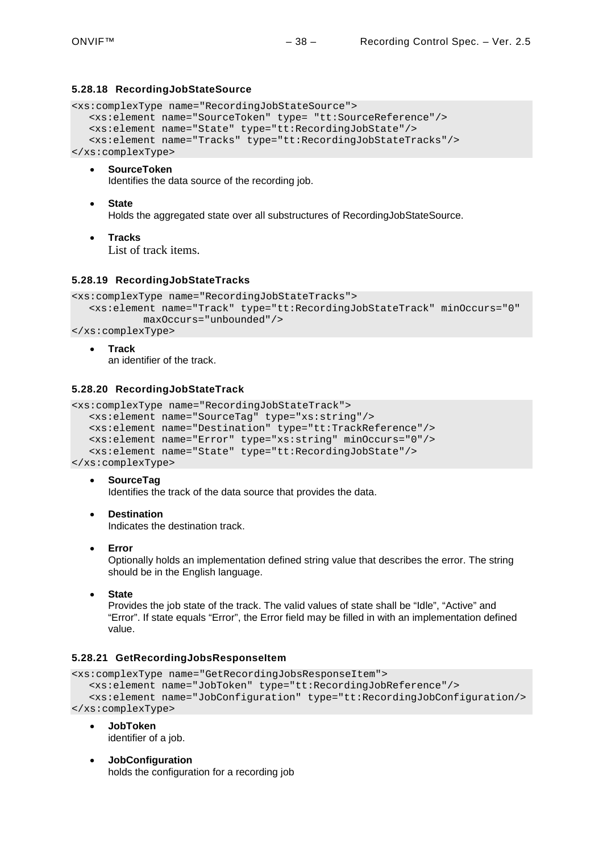#### <span id="page-37-0"></span>**5.28.18 RecordingJobStateSource**

```
<xs:complexType name="RecordingJobStateSource">
  <xs:element name="SourceToken" type= "tt:SourceReference"/>
  <xs:element name="State" type="tt:RecordingJobState"/>
  <xs:element name="Tracks" type="tt:RecordingJobStateTracks"/>
</xs:complexType>
```
• **SourceToken**

Identifies the data source of the recording job.

- **State** Holds the aggregated state over all substructures of RecordingJobStateSource.
- **Tracks**

List of track items.

#### <span id="page-37-1"></span>**5.28.19 RecordingJobStateTracks**

```
<xs:complexType name="RecordingJobStateTracks">
  <xs:element name="Track" type="tt:RecordingJobStateTrack" minOccurs="0"
           maxOccurs="unbounded"/>
```
- </xs:complexType>
	- **Track** an identifier of the track.

#### <span id="page-37-2"></span>**5.28.20 RecordingJobStateTrack**

```
<xs:complexType name="RecordingJobStateTrack">
  <xs:element name="SourceTag" type="xs:string"/>
  <xs:element name="Destination" type="tt:TrackReference"/>
  <xs:element name="Error" type="xs:string" minOccurs="0"/>
  <xs:element name="State" type="tt:RecordingJobState"/>
</xs:complexType>
```
- **SourceTag** Identifies the track of the data source that provides the data.
- **Destination** Indicates the destination track.
- **Error**

Optionally holds an implementation defined string value that describes the error. The string should be in the English language.

• **State**

Provides the job state of the track. The valid values of state shall be "Idle", "Active" and "Error". If state equals "Error", the Error field may be filled in with an implementation defined value.

#### <span id="page-37-3"></span>**5.28.21 GetRecordingJobsResponseItem**

```
<xs:complexType name="GetRecordingJobsResponseItem">
```

```
<xs:element name="JobToken" type="tt:RecordingJobReference"/>
  <xs:element name="JobConfiguration" type="tt:RecordingJobConfiguration/>
</xs:complexType>
```
- **JobToken** identifier of a job.
- **JobConfiguration** holds the configuration for a recording job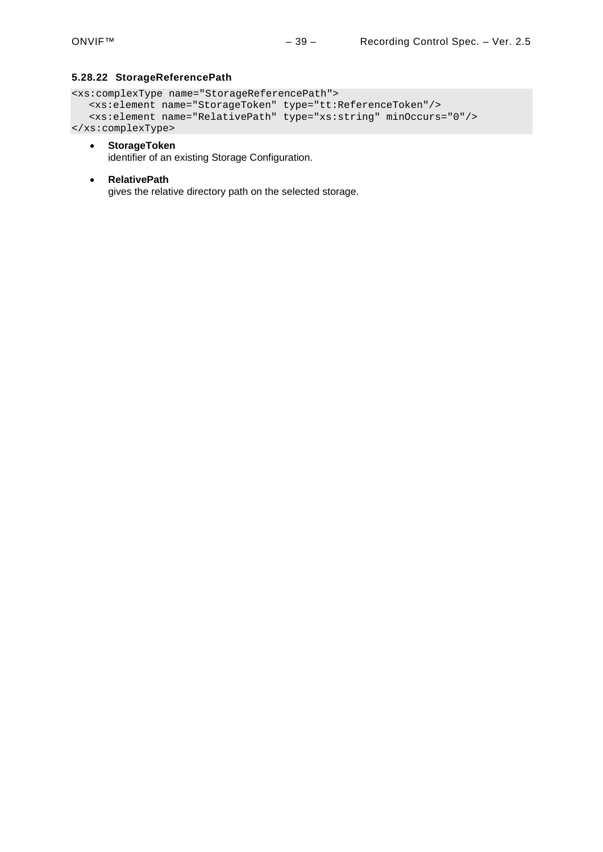#### <span id="page-38-0"></span>**5.28.22 StorageReferencePath**

```
<xs:complexType name="StorageReferencePath">
   <xs:element name="StorageToken" type="tt:ReferenceToken"/>
   <xs:element name="RelativePath" type="xs:string" minOccurs="0"/>
</xs:complexType>
```
• **StorageToken**

identifier of an existing Storage Configuration.

• **RelativePath** gives the relative directory path on the selected storage.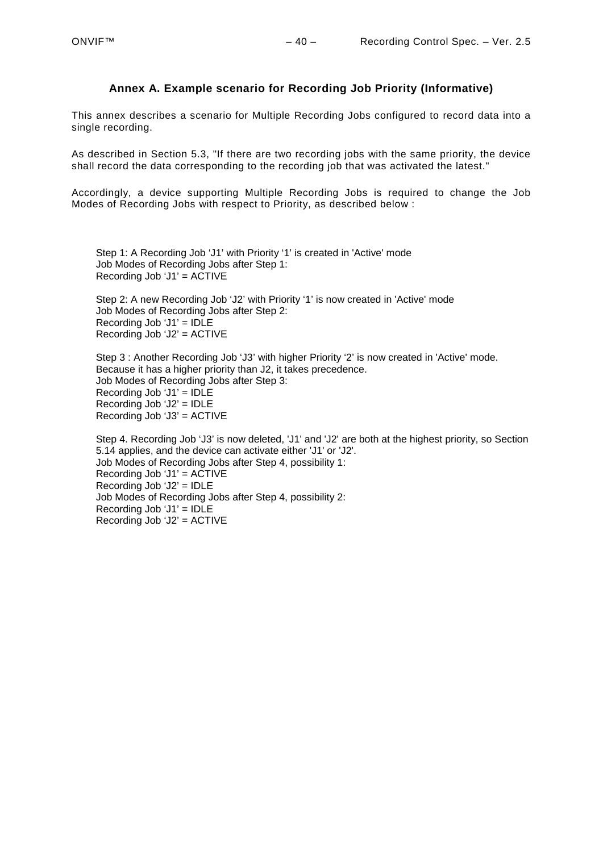# **Annex A. Example scenario for Recording Job Priority (Informative)**

<span id="page-39-0"></span>This annex describes a scenario for Multiple Recording Jobs configured to record data into a single recording.

As described in Section [5.3,](#page-10-1) "If there are two recording jobs with the same priority, the device shall record the data corresponding to the recording job that was activated the latest."

Accordingly, a device supporting Multiple Recording Jobs is required to change the Job Modes of Recording Jobs with respect to Priority, as described below :

Step 1: A Recording Job 'J1' with Priority '1' is created in 'Active' mode Job Modes of Recording Jobs after Step 1: Recording Job 'J1' = ACTIVE

Step 2: A new Recording Job 'J2' with Priority '1' is now created in 'Active' mode Job Modes of Recording Jobs after Step 2: Recording Job 'J1' = IDLE Recording Job 'J2' = ACTIVE

Step 3 : Another Recording Job 'J3' with higher Priority '2' is now created in 'Active' mode. Because it has a higher priority than J2, it takes precedence. Job Modes of Recording Jobs after Step 3: Recording Job 'J1' = IDLE Recording Job 'J2' = IDLE Recording Job 'J3' = ACTIVE

Step 4. Recording Job 'J3' is now deleted, 'J1' and 'J2' are both at the highest priority, so Section [5.14](#page-18-0) applies, and the device can activate either 'J1' or 'J2'. Job Modes of Recording Jobs after Step 4, possibility 1: Recording Job 'J1' = ACTIVE Recording Job 'J2' = IDLE Job Modes of Recording Jobs after Step 4, possibility 2: Recording Job 'J1' = IDLE Recording Job 'J2' = ACTIVE